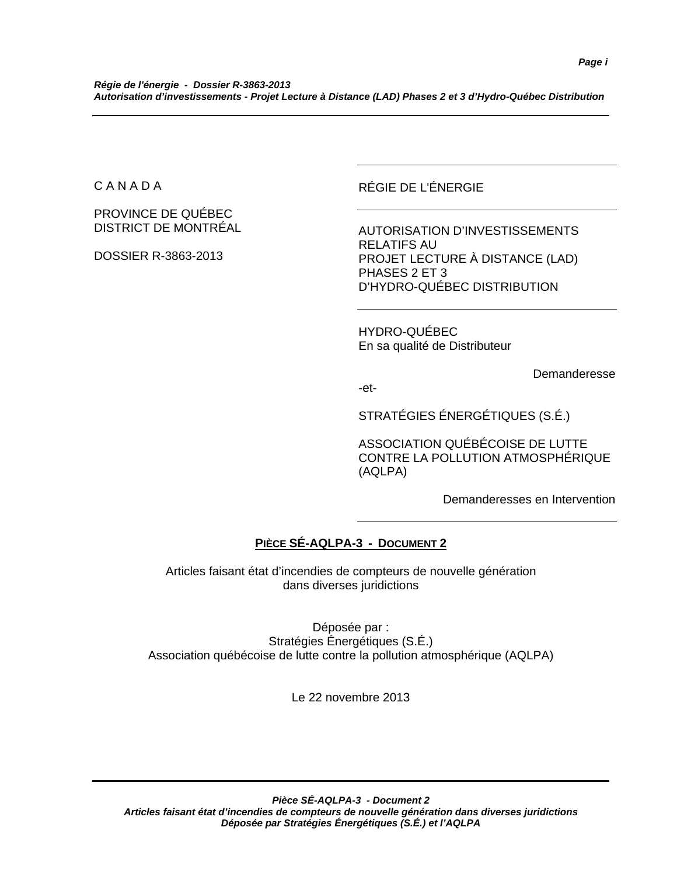C A N A D A

PROVINCE DE QUÉBEC DISTRICT DE MONTRÉAL

DOSSIER R-3863-2013

RÉGIE DE L'ÉNERGIE

AUTORISATION D'INVESTISSEMENTS RELATIFS AU PROJET LECTURE À DISTANCE (LAD) PHASES 2 ET 3 D'HYDRO-QUÉBEC DISTRIBUTION

HYDRO-QUÉBEC En sa qualité de Distributeur

Demanderesse

-et-

STRATÉGIES ÉNERGÉTIQUES (S.É.)

ASSOCIATION QUÉBÉCOISE DE LUTTE CONTRE LA POLLUTION ATMOSPHÉRIQUE (AQLPA)

Demanderesses en Intervention

# **PIÈCE SÉ-AQLPA-3 - DOCUMENT 2**

Articles faisant état d'incendies de compteurs de nouvelle génération dans diverses juridictions

Déposée par : Stratégies Énergétiques (S.É.) Association québécoise de lutte contre la pollution atmosphérique (AQLPA)

Le 22 novembre 2013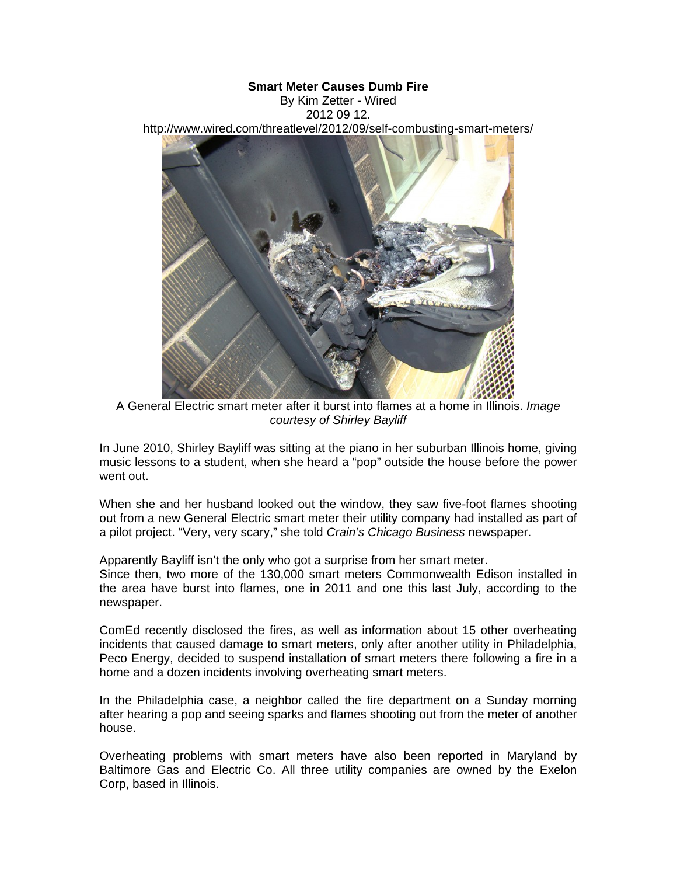## **Smart Meter Causes Dumb Fire**

By Kim Zetter - Wired 2012 09 12. http://www.wired.com/threatlevel/2012/09/self-combusting-smart-meters/



A General Electric smart meter after it burst into flames at a home in Illinois. *Image courtesy of Shirley Bayliff*

In June 2010, Shirley Bayliff was sitting at the piano in her suburban Illinois home, giving music lessons to a student, when she heard a "pop" outside the house before the power went out.

When she and her husband looked out the window, they saw five-foot flames shooting out from a new General Electric smart meter their utility company had installed as part of a pilot project. "Very, very scary," she told *Crain's Chicago Business* newspaper.

Apparently Bayliff isn't the only who got a surprise from her smart meter.

Since then, two more of the 130,000 smart meters Commonwealth Edison installed in the area have burst into flames, one in 2011 and one this last July, according to the newspaper.

ComEd recently disclosed the fires, as well as information about 15 other overheating incidents that caused damage to smart meters, only after another utility in Philadelphia, Peco Energy, decided to suspend installation of smart meters there following a fire in a home and a dozen incidents involving overheating smart meters.

In the Philadelphia case, a neighbor called the fire department on a Sunday morning after hearing a pop and seeing sparks and flames shooting out from the meter of another house.

Overheating problems with smart meters have also been reported in Maryland by Baltimore Gas and Electric Co. All three utility companies are owned by the Exelon Corp, based in Illinois.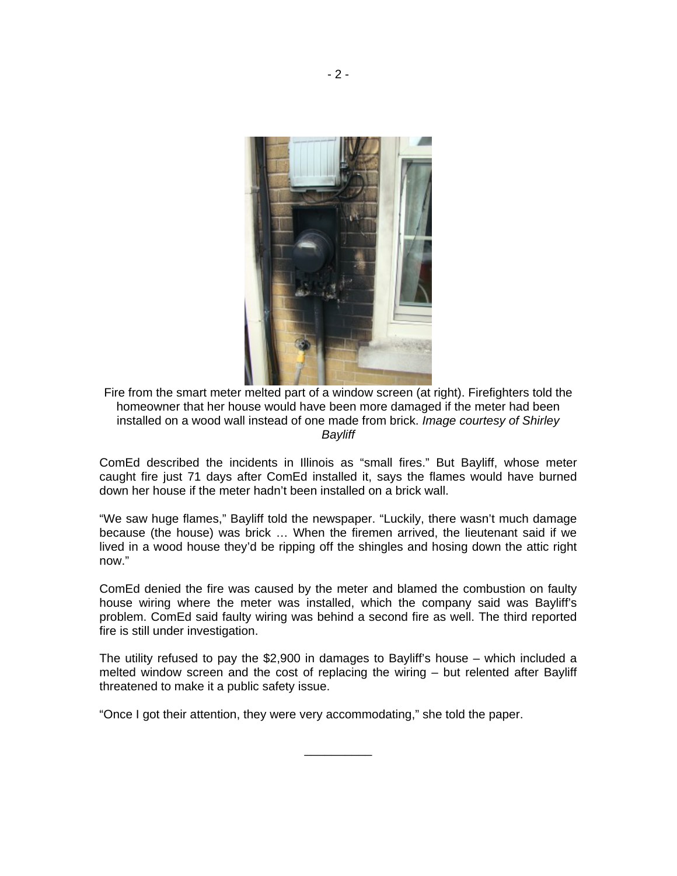

Fire from the smart meter melted part of a window screen (at right). Firefighters told the homeowner that her house would have been more damaged if the meter had been installed on a wood wall instead of one made from brick. *Image courtesy of Shirley Bayliff*

ComEd described the incidents in Illinois as "small fires." But Bayliff, whose meter caught fire just 71 days after ComEd installed it, says the flames would have burned down her house if the meter hadn't been installed on a brick wall.

"We saw huge flames," Bayliff told the newspaper. "Luckily, there wasn't much damage because (the house) was brick … When the firemen arrived, the lieutenant said if we lived in a wood house they'd be ripping off the shingles and hosing down the attic right now."

ComEd denied the fire was caused by the meter and blamed the combustion on faulty house wiring where the meter was installed, which the company said was Bayliff's problem. ComEd said faulty wiring was behind a second fire as well. The third reported fire is still under investigation.

The utility refused to pay the \$2,900 in damages to Bayliff's house – which included a melted window screen and the cost of replacing the wiring – but relented after Bayliff threatened to make it a public safety issue.

\_\_\_\_\_\_\_\_\_\_

"Once I got their attention, they were very accommodating," she told the paper.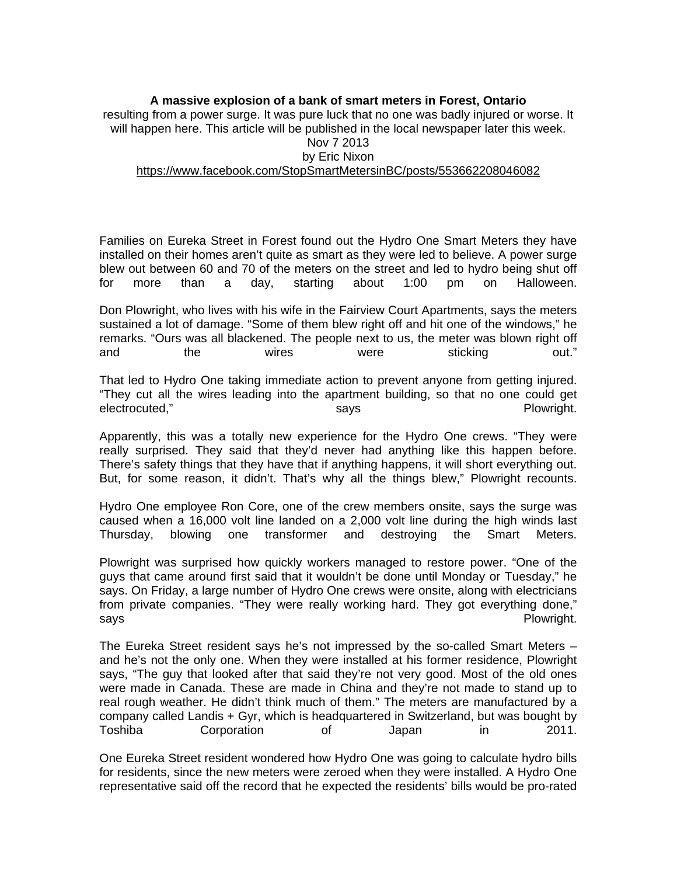**A massive explosion of a bank of smart meters in Forest, Ontario**  resulting from a power surge. It was pure luck that no one was badly injured or worse. It will happen here. This article will be published in the local newspaper later this week. Nov 7 2013 by Eric Nixon https://www.facebook.com/StopSmartMetersinBC/posts/553662208046082

Families on Eureka Street in Forest found out the Hydro One Smart Meters they have installed on their homes aren't quite as smart as they were led to believe. A power surge blew out between 60 and 70 of the meters on the street and led to hydro being shut off for more than a day, starting about 1:00 pm on Halloween.

Don Plowright, who lives with his wife in the Fairview Court Apartments, says the meters sustained a lot of damage. "Some of them blew right off and hit one of the windows," he remarks. "Ours was all blackened. The people next to us, the meter was blown right off and the wires were sticking out."

That led to Hydro One taking immediate action to prevent anyone from getting injured. "They cut all the wires leading into the apartment building, so that no one could get electrocuted," etc. in the says and the says of the Plowright.

Apparently, this was a totally new experience for the Hydro One crews. "They were really surprised. They said that they'd never had anything like this happen before. There's safety things that they have that if anything happens, it will short everything out. But, for some reason, it didn't. That's why all the things blew," Plowright recounts.

Hydro One employee Ron Core, one of the crew members onsite, says the surge was caused when a 16,000 volt line landed on a 2,000 volt line during the high winds last Thursday, blowing one transformer and destroying the Smart Meters.

Plowright was surprised how quickly workers managed to restore power. "One of the guys that came around first said that it wouldn't be done until Monday or Tuesday," he says. On Friday, a large number of Hydro One crews were onsite, along with electricians from private companies. "They were really working hard. They got everything done," says **Plowright.** The same of the same of the same of the same of the same of the same of the same of the same of the same of the same of the same of the same of the same of the same of the same of the same of the same of

The Eureka Street resident says he's not impressed by the so-called Smart Meters – and he's not the only one. When they were installed at his former residence, Plowright says, "The guy that looked after that said they're not very good. Most of the old ones were made in Canada. These are made in China and they're not made to stand up to real rough weather. He didn't think much of them." The meters are manufactured by a company called Landis + Gyr, which is headquartered in Switzerland, but was bought by Toshiba Corporation of Japan in 2011.

One Eureka Street resident wondered how Hydro One was going to calculate hydro bills for residents, since the new meters were zeroed when they were installed. A Hydro One representative said off the record that he expected the residents' bills would be pro-rated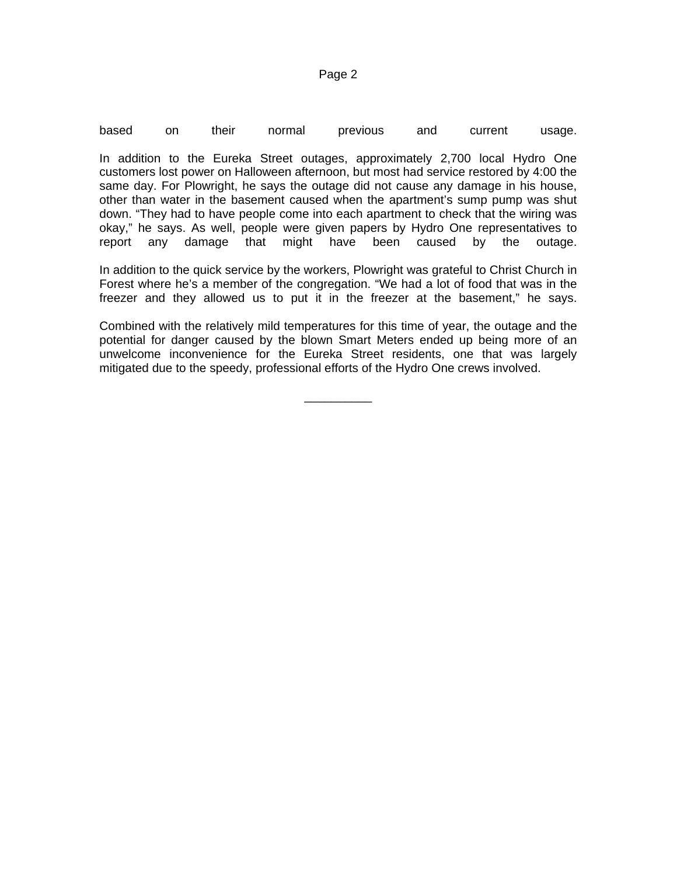| based<br>their<br>normal<br>and<br>current<br>on<br>previous | usage. |
|--------------------------------------------------------------|--------|
|--------------------------------------------------------------|--------|

In addition to the Eureka Street outages, approximately 2,700 local Hydro One customers lost power on Halloween afternoon, but most had service restored by 4:00 the same day. For Plowright, he says the outage did not cause any damage in his house, other than water in the basement caused when the apartment's sump pump was shut down. "They had to have people come into each apartment to check that the wiring was okay," he says. As well, people were given papers by Hydro One representatives to report any damage that might have been caused by the outage.

In addition to the quick service by the workers, Plowright was grateful to Christ Church in Forest where he's a member of the congregation. "We had a lot of food that was in the freezer and they allowed us to put it in the freezer at the basement," he says.

Combined with the relatively mild temperatures for this time of year, the outage and the potential for danger caused by the blown Smart Meters ended up being more of an unwelcome inconvenience for the Eureka Street residents, one that was largely mitigated due to the speedy, professional efforts of the Hydro One crews involved.

\_\_\_\_\_\_\_\_\_\_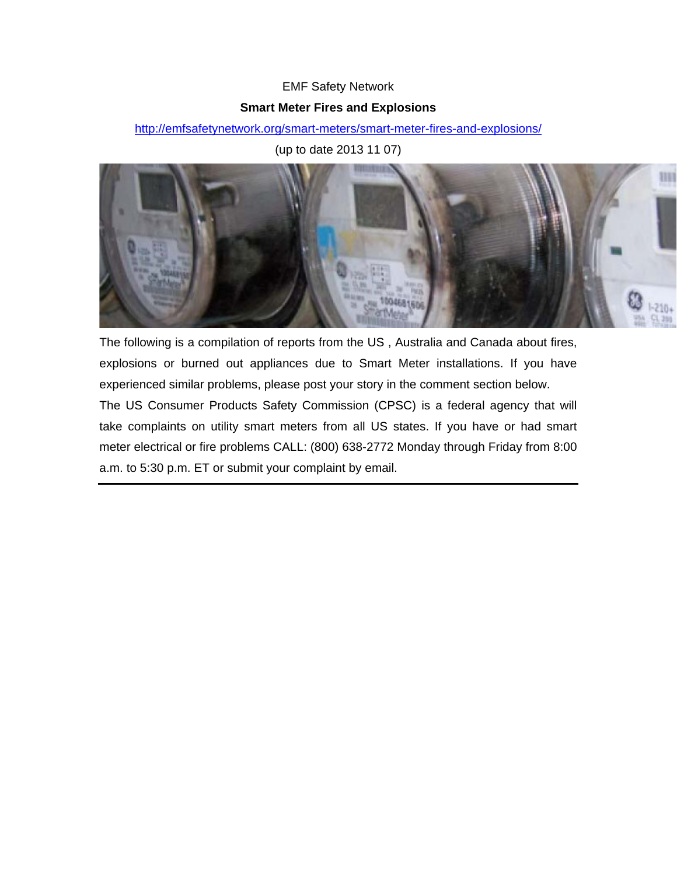# EMF Safety Network

# **Smart Meter Fires and Explosions**

http://emfsafetynetwork.org/smart-meters/smart-meter-fires-and-explosions/

(up to date 2013 11 07)



The following is a compilation of reports from the US , Australia and Canada about fires, explosions or burned out appliances due to Smart Meter installations. If you have experienced similar problems, please post your story in the comment section below.

The US Consumer Products Safety Commission (CPSC) is a federal agency that will take complaints on utility smart meters from all US states. If you have or had smart meter electrical or fire problems CALL: (800) 638-2772 Monday through Friday from 8:00 a.m. to 5:30 p.m. ET or submit your complaint by email.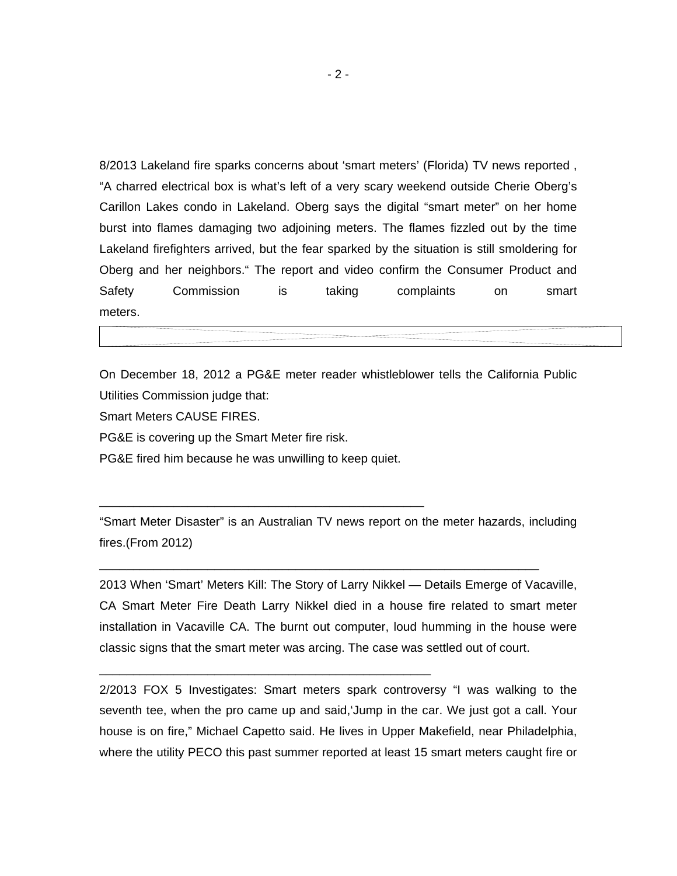8/2013 Lakeland fire sparks concerns about 'smart meters' (Florida) TV news reported , "A charred electrical box is what's left of a very scary weekend outside Cherie Oberg's Carillon Lakes condo in Lakeland. Oberg says the digital "smart meter" on her home burst into flames damaging two adjoining meters. The flames fizzled out by the time Lakeland firefighters arrived, but the fear sparked by the situation is still smoldering for Oberg and her neighbors." The report and video confirm the Consumer Product and Safety Commission is taking complaints on smart meters.

On December 18, 2012 a PG&E meter reader whistleblower tells the California Public Utilities Commission judge that:

Smart Meters CAUSE FIRES.

PG&E is covering up the Smart Meter fire risk.

PG&E fired him because he was unwilling to keep quiet.

\_\_\_\_\_\_\_\_\_\_\_\_\_\_\_\_\_\_\_\_\_\_\_\_\_\_\_\_\_\_\_\_\_\_\_\_\_\_\_\_\_\_\_\_\_\_\_\_

\_\_\_\_\_\_\_\_\_\_\_\_\_\_\_\_\_\_\_\_\_\_\_\_\_\_\_\_\_\_\_\_\_\_\_\_\_\_\_\_\_\_\_\_\_\_\_\_\_

"Smart Meter Disaster" is an Australian TV news report on the meter hazards, including fires.(From 2012)

\_\_\_\_\_\_\_\_\_\_\_\_\_\_\_\_\_\_\_\_\_\_\_\_\_\_\_\_\_\_\_\_\_\_\_\_\_\_\_\_\_\_\_\_\_\_\_\_\_\_\_\_\_\_\_\_\_\_\_\_\_\_\_\_\_

2013 When 'Smart' Meters Kill: The Story of Larry Nikkel — Details Emerge of Vacaville, CA Smart Meter Fire Death Larry Nikkel died in a house fire related to smart meter installation in Vacaville CA. The burnt out computer, loud humming in the house were classic signs that the smart meter was arcing. The case was settled out of court.

2/2013 FOX 5 Investigates: Smart meters spark controversy "I was walking to the seventh tee, when the pro came up and said,'Jump in the car. We just got a call. Your house is on fire," Michael Capetto said. He lives in Upper Makefield, near Philadelphia, where the utility PECO this past summer reported at least 15 smart meters caught fire or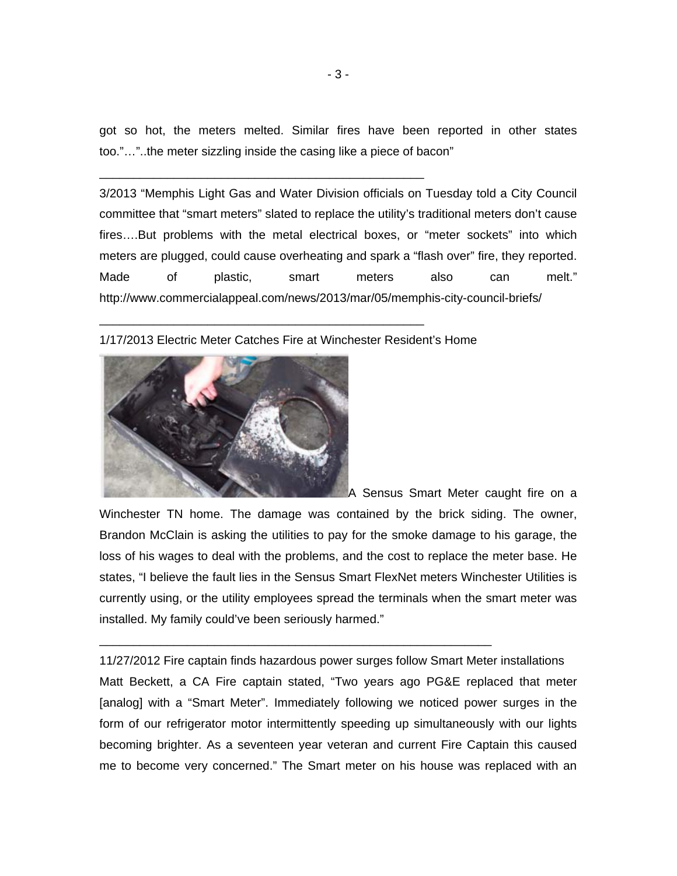got so hot, the meters melted. Similar fires have been reported in other states too."…"..the meter sizzling inside the casing like a piece of bacon"

3/2013 "Memphis Light Gas and Water Division officials on Tuesday told a City Council committee that "smart meters" slated to replace the utility's traditional meters don't cause fires….But problems with the metal electrical boxes, or "meter sockets" into which meters are plugged, could cause overheating and spark a "flash over" fire, they reported. Made of plastic, smart meters also can melt." http://www.commercialappeal.com/news/2013/mar/05/memphis-city-council-briefs/

### 1/17/2013 Electric Meter Catches Fire at Winchester Resident's Home

\_\_\_\_\_\_\_\_\_\_\_\_\_\_\_\_\_\_\_\_\_\_\_\_\_\_\_\_\_\_\_\_\_\_\_\_\_\_\_\_\_\_\_\_\_\_\_\_

\_\_\_\_\_\_\_\_\_\_\_\_\_\_\_\_\_\_\_\_\_\_\_\_\_\_\_\_\_\_\_\_\_\_\_\_\_\_\_\_\_\_\_\_\_\_\_\_



A Sensus Smart Meter caught fire on a

Winchester TN home. The damage was contained by the brick siding. The owner, Brandon McClain is asking the utilities to pay for the smoke damage to his garage, the loss of his wages to deal with the problems, and the cost to replace the meter base. He states, "I believe the fault lies in the Sensus Smart FlexNet meters Winchester Utilities is currently using, or the utility employees spread the terminals when the smart meter was installed. My family could've been seriously harmed."

11/27/2012 Fire captain finds hazardous power surges follow Smart Meter installations Matt Beckett, a CA Fire captain stated, "Two years ago PG&E replaced that meter [analog] with a "Smart Meter". Immediately following we noticed power surges in the form of our refrigerator motor intermittently speeding up simultaneously with our lights becoming brighter. As a seventeen year veteran and current Fire Captain this caused me to become very concerned." The Smart meter on his house was replaced with an

\_\_\_\_\_\_\_\_\_\_\_\_\_\_\_\_\_\_\_\_\_\_\_\_\_\_\_\_\_\_\_\_\_\_\_\_\_\_\_\_\_\_\_\_\_\_\_\_\_\_\_\_\_\_\_\_\_\_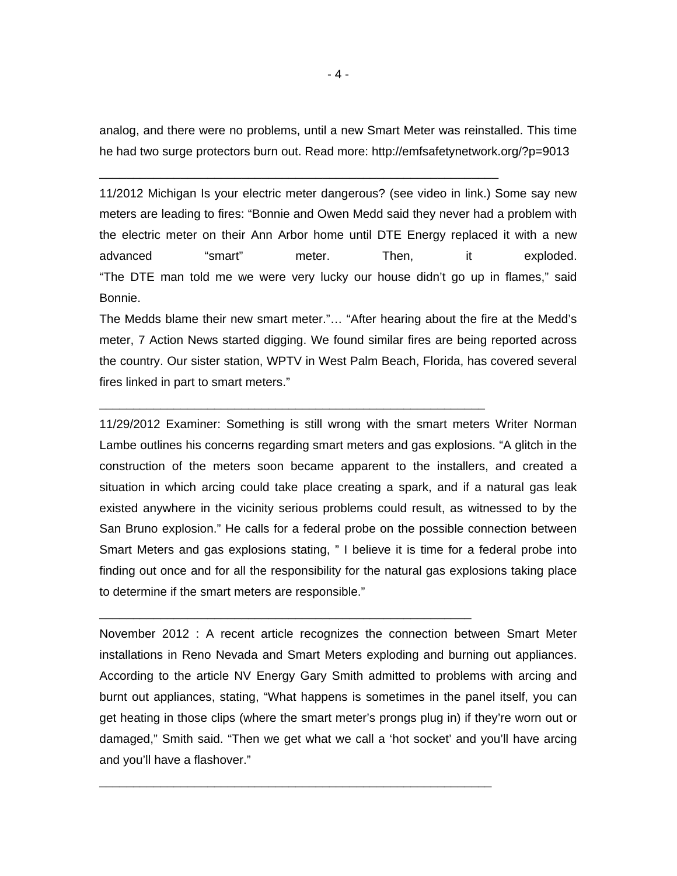analog, and there were no problems, until a new Smart Meter was reinstalled. This time he had two surge protectors burn out. Read more: http://emfsafetynetwork.org/?p=9013

\_\_\_\_\_\_\_\_\_\_\_\_\_\_\_\_\_\_\_\_\_\_\_\_\_\_\_\_\_\_\_\_\_\_\_\_\_\_\_\_\_\_\_\_\_\_\_\_\_\_\_\_\_\_\_\_\_\_\_

\_\_\_\_\_\_\_\_\_\_\_\_\_\_\_\_\_\_\_\_\_\_\_\_\_\_\_\_\_\_\_\_\_\_\_\_\_\_\_\_\_\_\_\_\_\_\_\_\_\_\_\_\_\_\_\_\_

\_\_\_\_\_\_\_\_\_\_\_\_\_\_\_\_\_\_\_\_\_\_\_\_\_\_\_\_\_\_\_\_\_\_\_\_\_\_\_\_\_\_\_\_\_\_\_\_\_\_\_\_\_\_\_

\_\_\_\_\_\_\_\_\_\_\_\_\_\_\_\_\_\_\_\_\_\_\_\_\_\_\_\_\_\_\_\_\_\_\_\_\_\_\_\_\_\_\_\_\_\_\_\_\_\_\_\_\_\_\_\_\_\_

11/2012 Michigan Is your electric meter dangerous? (see video in link.) Some say new meters are leading to fires: "Bonnie and Owen Medd said they never had a problem with the electric meter on their Ann Arbor home until DTE Energy replaced it with a new advanced "smart" meter. Then, it exploded. "The DTE man told me we were very lucky our house didn't go up in flames," said Bonnie.

The Medds blame their new smart meter."… "After hearing about the fire at the Medd's meter, 7 Action News started digging. We found similar fires are being reported across the country. Our sister station, WPTV in West Palm Beach, Florida, has covered several fires linked in part to smart meters."

11/29/2012 Examiner: Something is still wrong with the smart meters Writer Norman Lambe outlines his concerns regarding smart meters and gas explosions. "A glitch in the construction of the meters soon became apparent to the installers, and created a situation in which arcing could take place creating a spark, and if a natural gas leak existed anywhere in the vicinity serious problems could result, as witnessed to by the San Bruno explosion." He calls for a federal probe on the possible connection between Smart Meters and gas explosions stating, " I believe it is time for a federal probe into finding out once and for all the responsibility for the natural gas explosions taking place to determine if the smart meters are responsible."

November 2012 : A recent article recognizes the connection between Smart Meter installations in Reno Nevada and Smart Meters exploding and burning out appliances. According to the article NV Energy Gary Smith admitted to problems with arcing and burnt out appliances, stating, "What happens is sometimes in the panel itself, you can get heating in those clips (where the smart meter's prongs plug in) if they're worn out or damaged," Smith said. "Then we get what we call a 'hot socket' and you'll have arcing and you'll have a flashover."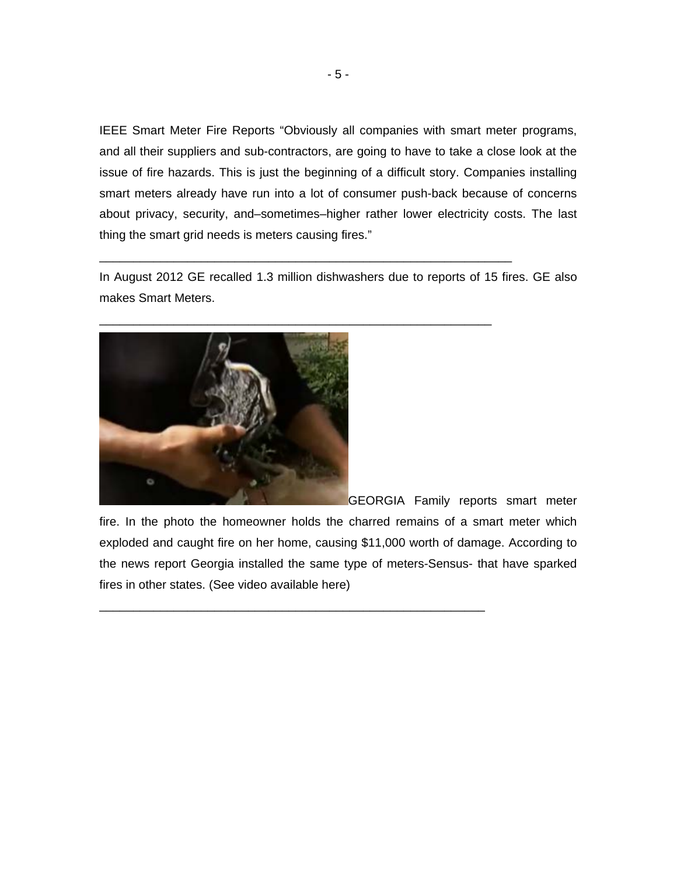IEEE Smart Meter Fire Reports "Obviously all companies with smart meter programs, and all their suppliers and sub-contractors, are going to have to take a close look at the issue of fire hazards. This is just the beginning of a difficult story. Companies installing smart meters already have run into a lot of consumer push-back because of concerns about privacy, security, and–sometimes–higher rather lower electricity costs. The last thing the smart grid needs is meters causing fires."

In August 2012 GE recalled 1.3 million dishwashers due to reports of 15 fires. GE also makes Smart Meters.

\_\_\_\_\_\_\_\_\_\_\_\_\_\_\_\_\_\_\_\_\_\_\_\_\_\_\_\_\_\_\_\_\_\_\_\_\_\_\_\_\_\_\_\_\_\_\_\_\_\_\_\_\_\_\_\_\_\_\_\_\_

\_\_\_\_\_\_\_\_\_\_\_\_\_\_\_\_\_\_\_\_\_\_\_\_\_\_\_\_\_\_\_\_\_\_\_\_\_\_\_\_\_\_\_\_\_\_\_\_\_\_\_\_\_\_\_\_\_\_



GEORGIA Family reports smart meter

fire. In the photo the homeowner holds the charred remains of a smart meter which exploded and caught fire on her home, causing \$11,000 worth of damage. According to the news report Georgia installed the same type of meters-Sensus- that have sparked fires in other states. (See video available here)

\_\_\_\_\_\_\_\_\_\_\_\_\_\_\_\_\_\_\_\_\_\_\_\_\_\_\_\_\_\_\_\_\_\_\_\_\_\_\_\_\_\_\_\_\_\_\_\_\_\_\_\_\_\_\_\_\_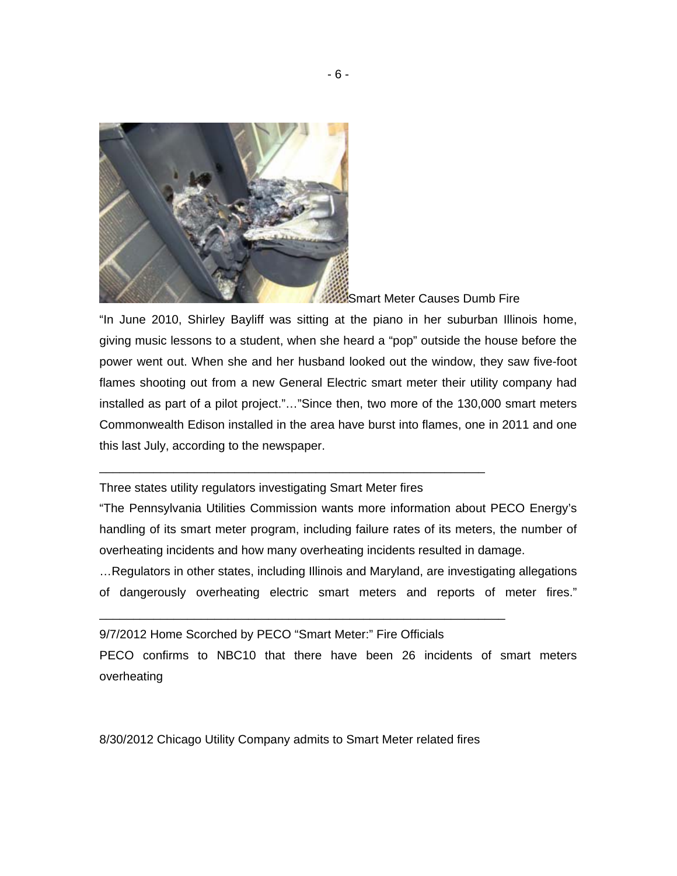

Smart Meter Causes Dumb Fire

"In June 2010, Shirley Bayliff was sitting at the piano in her suburban Illinois home, giving music lessons to a student, when she heard a "pop" outside the house before the power went out. When she and her husband looked out the window, they saw five-foot flames shooting out from a new General Electric smart meter their utility company had installed as part of a pilot project."…"Since then, two more of the 130,000 smart meters Commonwealth Edison installed in the area have burst into flames, one in 2011 and one this last July, according to the newspaper.

Three states utility regulators investigating Smart Meter fires

\_\_\_\_\_\_\_\_\_\_\_\_\_\_\_\_\_\_\_\_\_\_\_\_\_\_\_\_\_\_\_\_\_\_\_\_\_\_\_\_\_\_\_\_\_\_\_\_\_\_\_\_\_\_\_\_\_

"The Pennsylvania Utilities Commission wants more information about PECO Energy's handling of its smart meter program, including failure rates of its meters, the number of overheating incidents and how many overheating incidents resulted in damage.

…Regulators in other states, including Illinois and Maryland, are investigating allegations of dangerously overheating electric smart meters and reports of meter fires."

9/7/2012 Home Scorched by PECO "Smart Meter:" Fire Officials

\_\_\_\_\_\_\_\_\_\_\_\_\_\_\_\_\_\_\_\_\_\_\_\_\_\_\_\_\_\_\_\_\_\_\_\_\_\_\_\_\_\_\_\_\_\_\_\_\_\_\_\_\_\_\_\_\_\_\_\_

PECO confirms to NBC10 that there have been 26 incidents of smart meters overheating

8/30/2012 Chicago Utility Company admits to Smart Meter related fires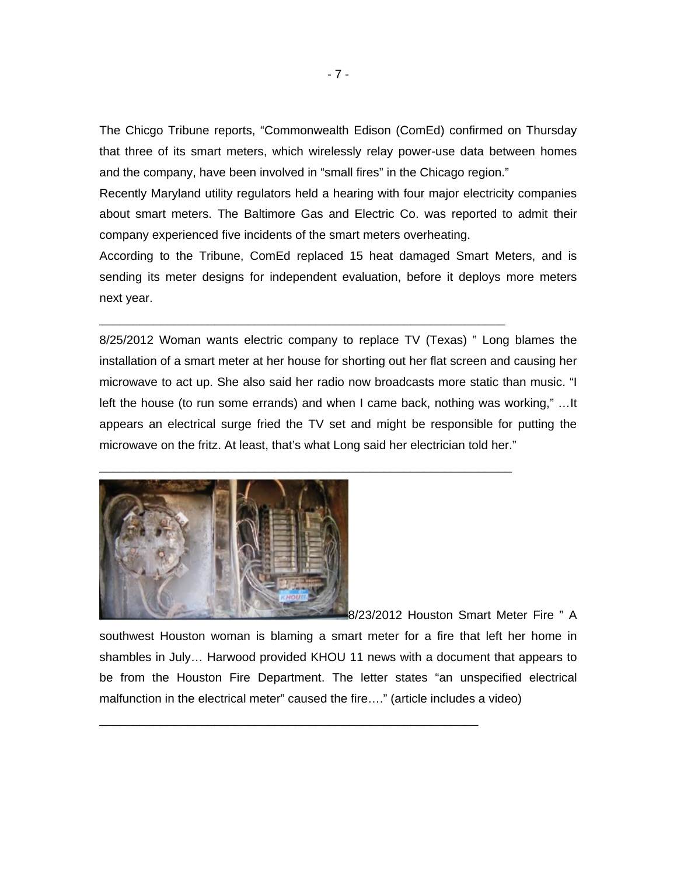The Chicgo Tribune reports, "Commonwealth Edison (ComEd) confirmed on Thursday that three of its smart meters, which wirelessly relay power-use data between homes and the company, have been involved in "small fires" in the Chicago region."

Recently Maryland utility regulators held a hearing with four major electricity companies about smart meters. The Baltimore Gas and Electric Co. was reported to admit their company experienced five incidents of the smart meters overheating.

According to the Tribune, ComEd replaced 15 heat damaged Smart Meters, and is sending its meter designs for independent evaluation, before it deploys more meters next year.

\_\_\_\_\_\_\_\_\_\_\_\_\_\_\_\_\_\_\_\_\_\_\_\_\_\_\_\_\_\_\_\_\_\_\_\_\_\_\_\_\_\_\_\_\_\_\_\_\_\_\_\_\_\_\_\_\_\_\_\_

\_\_\_\_\_\_\_\_\_\_\_\_\_\_\_\_\_\_\_\_\_\_\_\_\_\_\_\_\_\_\_\_\_\_\_\_\_\_\_\_\_\_\_\_\_\_\_\_\_\_\_\_\_\_\_\_\_\_\_\_\_

8/25/2012 Woman wants electric company to replace TV (Texas) " Long blames the installation of a smart meter at her house for shorting out her flat screen and causing her microwave to act up. She also said her radio now broadcasts more static than music. "I left the house (to run some errands) and when I came back, nothing was working," …It appears an electrical surge fried the TV set and might be responsible for putting the microwave on the fritz. At least, that's what Long said her electrician told her."



8/23/2012 Houston Smart Meter Fire " A

southwest Houston woman is blaming a smart meter for a fire that left her home in shambles in July… Harwood provided KHOU 11 news with a document that appears to be from the Houston Fire Department. The letter states "an unspecified electrical malfunction in the electrical meter" caused the fire…." (article includes a video)

\_\_\_\_\_\_\_\_\_\_\_\_\_\_\_\_\_\_\_\_\_\_\_\_\_\_\_\_\_\_\_\_\_\_\_\_\_\_\_\_\_\_\_\_\_\_\_\_\_\_\_\_\_\_\_\_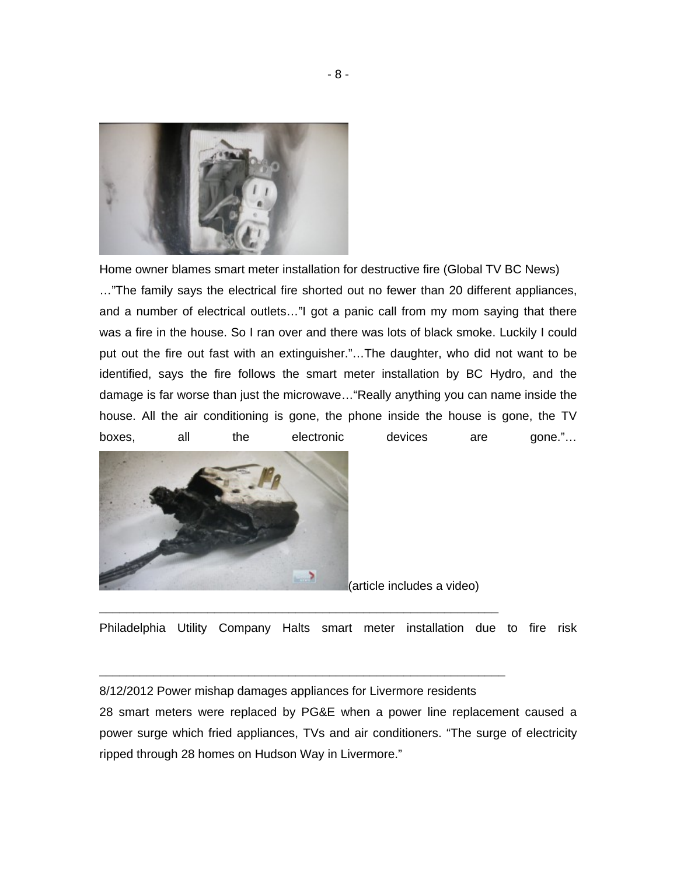

Home owner blames smart meter installation for destructive fire (Global TV BC News)

…"The family says the electrical fire shorted out no fewer than 20 different appliances, and a number of electrical outlets…"I got a panic call from my mom saying that there was a fire in the house. So I ran over and there was lots of black smoke. Luckily I could put out the fire out fast with an extinguisher."…The daughter, who did not want to be identified, says the fire follows the smart meter installation by BC Hydro, and the damage is far worse than just the microwave…"Really anything you can name inside the house. All the air conditioning is gone, the phone inside the house is gone, the TV boxes, all the electronic devices are gone."…



(article includes a video)

Philadelphia Utility Company Halts smart meter installation due to fire risk

8/12/2012 Power mishap damages appliances for Livermore residents

\_\_\_\_\_\_\_\_\_\_\_\_\_\_\_\_\_\_\_\_\_\_\_\_\_\_\_\_\_\_\_\_\_\_\_\_\_\_\_\_\_\_\_\_\_\_\_\_\_\_\_\_\_\_\_\_\_\_\_

\_\_\_\_\_\_\_\_\_\_\_\_\_\_\_\_\_\_\_\_\_\_\_\_\_\_\_\_\_\_\_\_\_\_\_\_\_\_\_\_\_\_\_\_\_\_\_\_\_\_\_\_\_\_\_\_\_\_\_\_

28 smart meters were replaced by PG&E when a power line replacement caused a power surge which fried appliances, TVs and air conditioners. "The surge of electricity ripped through 28 homes on Hudson Way in Livermore."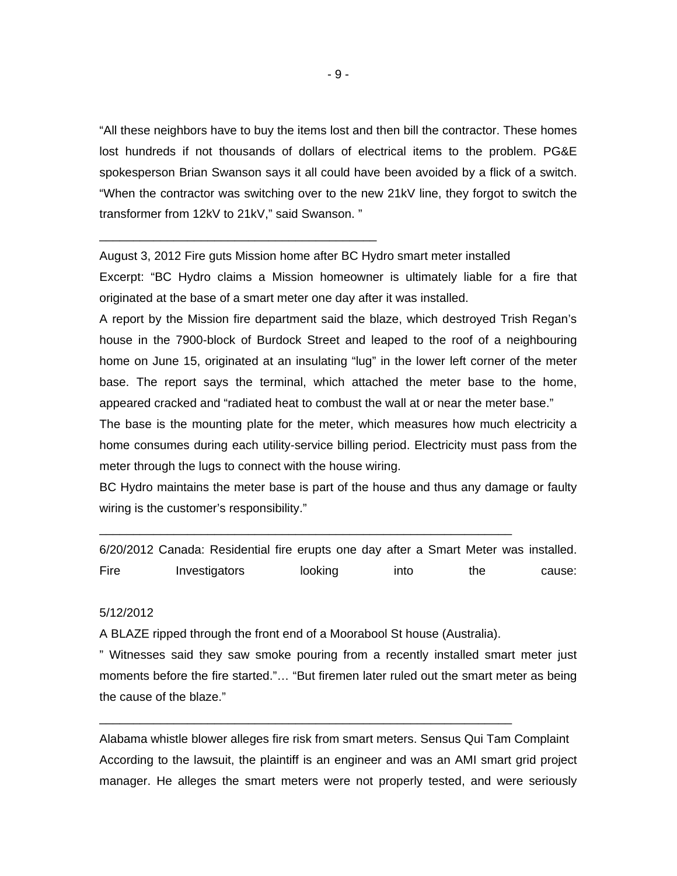"All these neighbors have to buy the items lost and then bill the contractor. These homes lost hundreds if not thousands of dollars of electrical items to the problem. PG&E spokesperson Brian Swanson says it all could have been avoided by a flick of a switch. "When the contractor was switching over to the new 21kV line, they forgot to switch the transformer from 12kV to 21kV," said Swanson. "

August 3, 2012 Fire guts Mission home after BC Hydro smart meter installed

\_\_\_\_\_\_\_\_\_\_\_\_\_\_\_\_\_\_\_\_\_\_\_\_\_\_\_\_\_\_\_\_\_\_\_\_\_\_\_\_\_

Excerpt: "BC Hydro claims a Mission homeowner is ultimately liable for a fire that originated at the base of a smart meter one day after it was installed.

A report by the Mission fire department said the blaze, which destroyed Trish Regan's house in the 7900-block of Burdock Street and leaped to the roof of a neighbouring home on June 15, originated at an insulating "lug" in the lower left corner of the meter base. The report says the terminal, which attached the meter base to the home, appeared cracked and "radiated heat to combust the wall at or near the meter base."

The base is the mounting plate for the meter, which measures how much electricity a home consumes during each utility-service billing period. Electricity must pass from the meter through the lugs to connect with the house wiring.

BC Hydro maintains the meter base is part of the house and thus any damage or faulty wiring is the customer's responsibility."

6/20/2012 Canada: Residential fire erupts one day after a Smart Meter was installed. Fire Investigators looking into the cause:

#### 5/12/2012

A BLAZE ripped through the front end of a Moorabool St house (Australia).

\_\_\_\_\_\_\_\_\_\_\_\_\_\_\_\_\_\_\_\_\_\_\_\_\_\_\_\_\_\_\_\_\_\_\_\_\_\_\_\_\_\_\_\_\_\_\_\_\_\_\_\_\_\_\_\_\_\_\_\_\_

\_\_\_\_\_\_\_\_\_\_\_\_\_\_\_\_\_\_\_\_\_\_\_\_\_\_\_\_\_\_\_\_\_\_\_\_\_\_\_\_\_\_\_\_\_\_\_\_\_\_\_\_\_\_\_\_\_\_\_\_\_

" Witnesses said they saw smoke pouring from a recently installed smart meter just moments before the fire started."… "But firemen later ruled out the smart meter as being the cause of the blaze."

Alabama whistle blower alleges fire risk from smart meters. Sensus Qui Tam Complaint According to the lawsuit, the plaintiff is an engineer and was an AMI smart grid project manager. He alleges the smart meters were not properly tested, and were seriously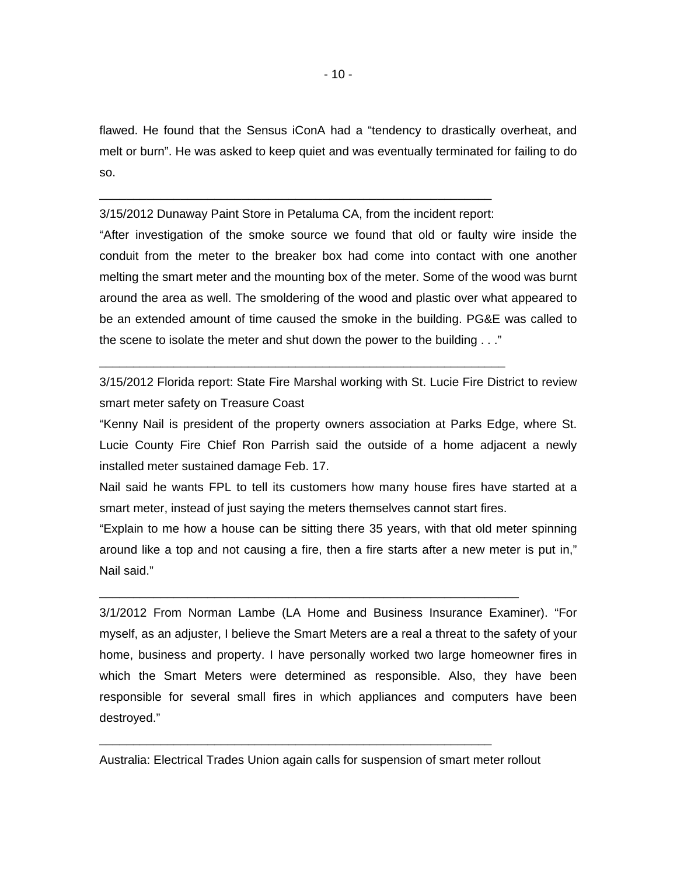flawed. He found that the Sensus iConA had a "tendency to drastically overheat, and melt or burn". He was asked to keep quiet and was eventually terminated for failing to do so.

\_\_\_\_\_\_\_\_\_\_\_\_\_\_\_\_\_\_\_\_\_\_\_\_\_\_\_\_\_\_\_\_\_\_\_\_\_\_\_\_\_\_\_\_\_\_\_\_\_\_\_\_\_\_\_\_\_\_ 3/15/2012 Dunaway Paint Store in Petaluma CA, from the incident report:

\_\_\_\_\_\_\_\_\_\_\_\_\_\_\_\_\_\_\_\_\_\_\_\_\_\_\_\_\_\_\_\_\_\_\_\_\_\_\_\_\_\_\_\_\_\_\_\_\_\_\_\_\_\_\_\_\_\_\_\_

"After investigation of the smoke source we found that old or faulty wire inside the conduit from the meter to the breaker box had come into contact with one another melting the smart meter and the mounting box of the meter. Some of the wood was burnt around the area as well. The smoldering of the wood and plastic over what appeared to be an extended amount of time caused the smoke in the building. PG&E was called to the scene to isolate the meter and shut down the power to the building . . ."

3/15/2012 Florida report: State Fire Marshal working with St. Lucie Fire District to review smart meter safety on Treasure Coast

"Kenny Nail is president of the property owners association at Parks Edge, where St. Lucie County Fire Chief Ron Parrish said the outside of a home adjacent a newly installed meter sustained damage Feb. 17.

Nail said he wants FPL to tell its customers how many house fires have started at a smart meter, instead of just saying the meters themselves cannot start fires.

"Explain to me how a house can be sitting there 35 years, with that old meter spinning around like a top and not causing a fire, then a fire starts after a new meter is put in," Nail said."

\_\_\_\_\_\_\_\_\_\_\_\_\_\_\_\_\_\_\_\_\_\_\_\_\_\_\_\_\_\_\_\_\_\_\_\_\_\_\_\_\_\_\_\_\_\_\_\_\_\_\_\_\_\_\_\_\_\_\_\_\_\_

3/1/2012 From Norman Lambe (LA Home and Business Insurance Examiner). "For myself, as an adjuster, I believe the Smart Meters are a real a threat to the safety of your home, business and property. I have personally worked two large homeowner fires in which the Smart Meters were determined as responsible. Also, they have been responsible for several small fires in which appliances and computers have been destroyed."

Australia: Electrical Trades Union again calls for suspension of smart meter rollout

\_\_\_\_\_\_\_\_\_\_\_\_\_\_\_\_\_\_\_\_\_\_\_\_\_\_\_\_\_\_\_\_\_\_\_\_\_\_\_\_\_\_\_\_\_\_\_\_\_\_\_\_\_\_\_\_\_\_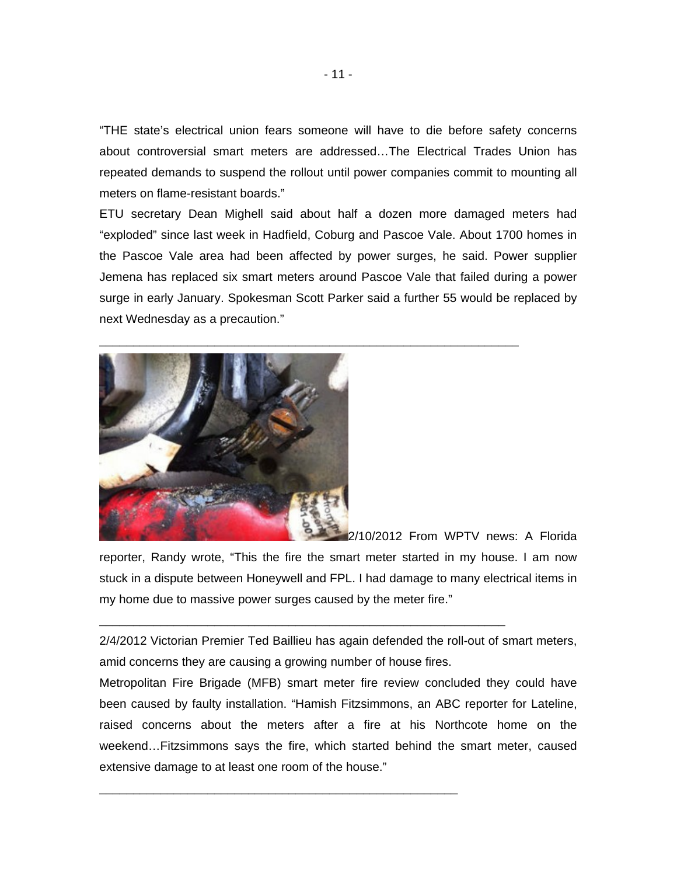"THE state's electrical union fears someone will have to die before safety concerns about controversial smart meters are addressed…The Electrical Trades Union has repeated demands to suspend the rollout until power companies commit to mounting all meters on flame-resistant boards."

ETU secretary Dean Mighell said about half a dozen more damaged meters had "exploded" since last week in Hadfield, Coburg and Pascoe Vale. About 1700 homes in the Pascoe Vale area had been affected by power surges, he said. Power supplier Jemena has replaced six smart meters around Pascoe Vale that failed during a power surge in early January. Spokesman Scott Parker said a further 55 would be replaced by next Wednesday as a precaution."

\_\_\_\_\_\_\_\_\_\_\_\_\_\_\_\_\_\_\_\_\_\_\_\_\_\_\_\_\_\_\_\_\_\_\_\_\_\_\_\_\_\_\_\_\_\_\_\_\_\_\_\_\_\_\_\_\_\_\_\_\_\_



2/10/2012 From WPTV news: A Florida

reporter, Randy wrote, "This the fire the smart meter started in my house. I am now stuck in a dispute between Honeywell and FPL. I had damage to many electrical items in my home due to massive power surges caused by the meter fire."

2/4/2012 Victorian Premier Ted Baillieu has again defended the roll-out of smart meters, amid concerns they are causing a growing number of house fires.

\_\_\_\_\_\_\_\_\_\_\_\_\_\_\_\_\_\_\_\_\_\_\_\_\_\_\_\_\_\_\_\_\_\_\_\_\_\_\_\_\_\_\_\_\_\_\_\_\_\_\_\_\_\_\_\_\_\_\_\_

\_\_\_\_\_\_\_\_\_\_\_\_\_\_\_\_\_\_\_\_\_\_\_\_\_\_\_\_\_\_\_\_\_\_\_\_\_\_\_\_\_\_\_\_\_\_\_\_\_\_\_\_\_

Metropolitan Fire Brigade (MFB) smart meter fire review concluded they could have been caused by faulty installation. "Hamish Fitzsimmons, an ABC reporter for Lateline, raised concerns about the meters after a fire at his Northcote home on the weekend…Fitzsimmons says the fire, which started behind the smart meter, caused extensive damage to at least one room of the house."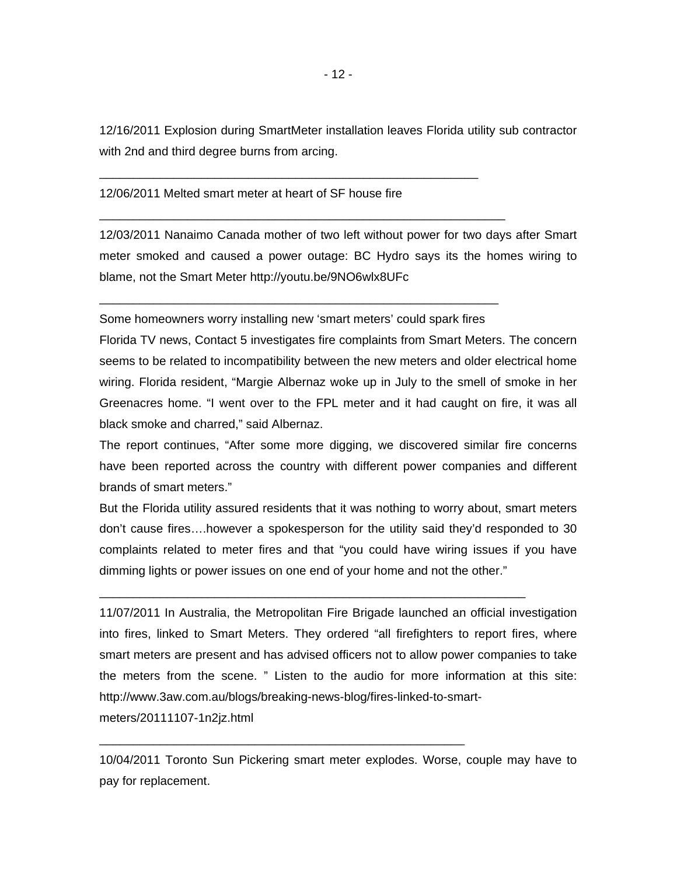12/16/2011 Explosion during SmartMeter installation leaves Florida utility sub contractor with 2nd and third degree burns from arcing.

#### 12/06/2011 Melted smart meter at heart of SF house fire

12/03/2011 Nanaimo Canada mother of two left without power for two days after Smart meter smoked and caused a power outage: BC Hydro says its the homes wiring to blame, not the Smart Meter http://youtu.be/9NO6wlx8UFc

Some homeowners worry installing new 'smart meters' could spark fires

\_\_\_\_\_\_\_\_\_\_\_\_\_\_\_\_\_\_\_\_\_\_\_\_\_\_\_\_\_\_\_\_\_\_\_\_\_\_\_\_\_\_\_\_\_\_\_\_\_\_\_\_\_\_\_\_\_\_\_

\_\_\_\_\_\_\_\_\_\_\_\_\_\_\_\_\_\_\_\_\_\_\_\_\_\_\_\_\_\_\_\_\_\_\_\_\_\_\_\_\_\_\_\_\_\_\_\_\_\_\_\_\_\_\_\_

\_\_\_\_\_\_\_\_\_\_\_\_\_\_\_\_\_\_\_\_\_\_\_\_\_\_\_\_\_\_\_\_\_\_\_\_\_\_\_\_\_\_\_\_\_\_\_\_\_\_\_\_\_\_\_\_\_\_\_\_

Florida TV news, Contact 5 investigates fire complaints from Smart Meters. The concern seems to be related to incompatibility between the new meters and older electrical home wiring. Florida resident, "Margie Albernaz woke up in July to the smell of smoke in her Greenacres home. "I went over to the FPL meter and it had caught on fire, it was all black smoke and charred," said Albernaz.

The report continues, "After some more digging, we discovered similar fire concerns have been reported across the country with different power companies and different brands of smart meters."

But the Florida utility assured residents that it was nothing to worry about, smart meters don't cause fires….however a spokesperson for the utility said they'd responded to 30 complaints related to meter fires and that "you could have wiring issues if you have dimming lights or power issues on one end of your home and not the other."

\_\_\_\_\_\_\_\_\_\_\_\_\_\_\_\_\_\_\_\_\_\_\_\_\_\_\_\_\_\_\_\_\_\_\_\_\_\_\_\_\_\_\_\_\_\_\_\_\_\_\_\_\_\_\_\_\_\_\_\_\_\_\_

\_\_\_\_\_\_\_\_\_\_\_\_\_\_\_\_\_\_\_\_\_\_\_\_\_\_\_\_\_\_\_\_\_\_\_\_\_\_\_\_\_\_\_\_\_\_\_\_\_\_\_\_\_\_

11/07/2011 In Australia, the Metropolitan Fire Brigade launched an official investigation into fires, linked to Smart Meters. They ordered "all firefighters to report fires, where smart meters are present and has advised officers not to allow power companies to take the meters from the scene. " Listen to the audio for more information at this site: http://www.3aw.com.au/blogs/breaking-news-blog/fires-linked-to-smartmeters/20111107-1n2jz.html

10/04/2011 Toronto Sun Pickering smart meter explodes. Worse, couple may have to pay for replacement.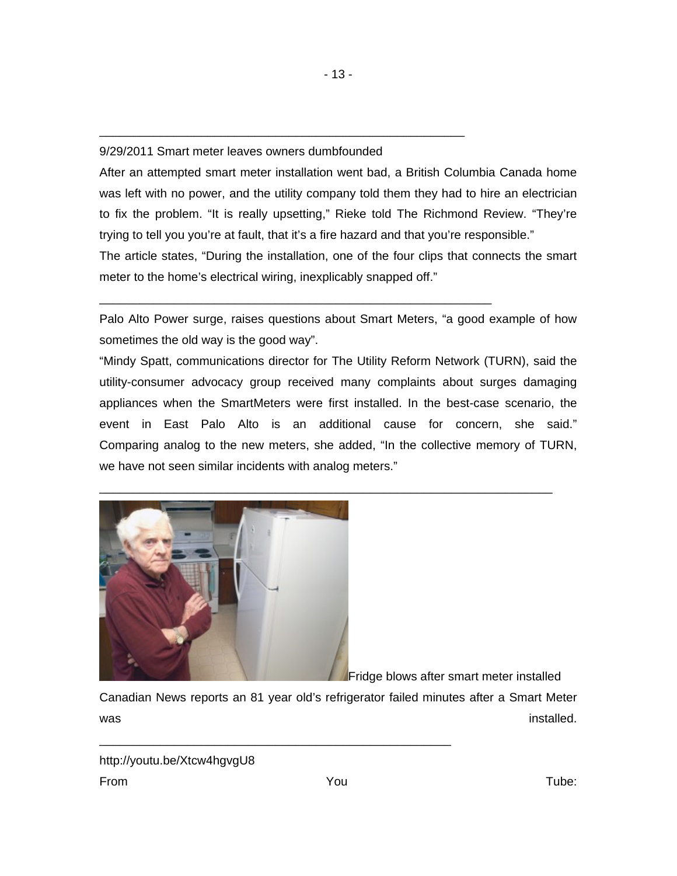### 9/29/2011 Smart meter leaves owners dumbfounded

\_\_\_\_\_\_\_\_\_\_\_\_\_\_\_\_\_\_\_\_\_\_\_\_\_\_\_\_\_\_\_\_\_\_\_\_\_\_\_\_\_\_\_\_\_\_\_\_\_\_\_\_\_\_

\_\_\_\_\_\_\_\_\_\_\_\_\_\_\_\_\_\_\_\_\_\_\_\_\_\_\_\_\_\_\_\_\_\_\_\_\_\_\_\_\_\_\_\_\_\_\_\_\_\_\_\_\_\_\_\_\_\_

After an attempted smart meter installation went bad, a British Columbia Canada home was left with no power, and the utility company told them they had to hire an electrician to fix the problem. "It is really upsetting," Rieke told The Richmond Review. "They're trying to tell you you're at fault, that it's a fire hazard and that you're responsible."

The article states, "During the installation, one of the four clips that connects the smart meter to the home's electrical wiring, inexplicably snapped off."

Palo Alto Power surge, raises questions about Smart Meters, "a good example of how sometimes the old way is the good way".

"Mindy Spatt, communications director for The Utility Reform Network (TURN), said the utility-consumer advocacy group received many complaints about surges damaging appliances when the SmartMeters were first installed. In the best-case scenario, the event in East Palo Alto is an additional cause for concern, she said." Comparing analog to the new meters, she added, "In the collective memory of TURN, we have not seen similar incidents with analog meters."

\_\_\_\_\_\_\_\_\_\_\_\_\_\_\_\_\_\_\_\_\_\_\_\_\_\_\_\_\_\_\_\_\_\_\_\_\_\_\_\_\_\_\_\_\_\_\_\_\_\_\_\_\_\_\_\_\_\_\_\_\_\_\_\_\_\_\_



Fridge blows after smart meter installed

Canadian News reports an 81 year old's refrigerator failed minutes after a Smart Meter was installed.

\_\_\_\_\_\_\_\_\_\_\_\_\_\_\_\_\_\_\_\_\_\_\_\_\_\_\_\_\_\_\_\_\_\_\_\_\_\_\_\_\_\_\_\_\_\_\_\_\_\_\_\_

http://youtu.be/Xtcw4hgvgU8 From Tube: The Manuscript of the Manuscript of Tube: The Tube: The Tube: Tube: Tube: Tube: Tube: Tube: Tube: T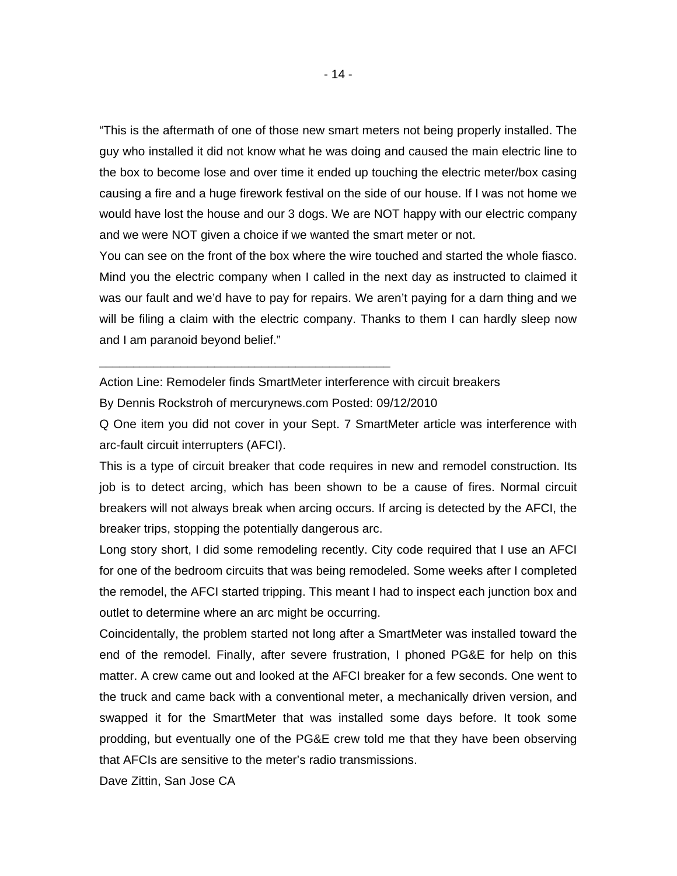"This is the aftermath of one of those new smart meters not being properly installed. The guy who installed it did not know what he was doing and caused the main electric line to the box to become lose and over time it ended up touching the electric meter/box casing causing a fire and a huge firework festival on the side of our house. If I was not home we would have lost the house and our 3 dogs. We are NOT happy with our electric company and we were NOT given a choice if we wanted the smart meter or not.

You can see on the front of the box where the wire touched and started the whole fiasco. Mind you the electric company when I called in the next day as instructed to claimed it was our fault and we'd have to pay for repairs. We aren't paying for a darn thing and we will be filing a claim with the electric company. Thanks to them I can hardly sleep now and I am paranoid beyond belief."

Action Line: Remodeler finds SmartMeter interference with circuit breakers

By Dennis Rockstroh of mercurynews.com Posted: 09/12/2010

\_\_\_\_\_\_\_\_\_\_\_\_\_\_\_\_\_\_\_\_\_\_\_\_\_\_\_\_\_\_\_\_\_\_\_\_\_\_\_\_\_\_\_

Q One item you did not cover in your Sept. 7 SmartMeter article was interference with arc-fault circuit interrupters (AFCI).

This is a type of circuit breaker that code requires in new and remodel construction. Its job is to detect arcing, which has been shown to be a cause of fires. Normal circuit breakers will not always break when arcing occurs. If arcing is detected by the AFCI, the breaker trips, stopping the potentially dangerous arc.

Long story short, I did some remodeling recently. City code required that I use an AFCI for one of the bedroom circuits that was being remodeled. Some weeks after I completed the remodel, the AFCI started tripping. This meant I had to inspect each junction box and outlet to determine where an arc might be occurring.

Coincidentally, the problem started not long after a SmartMeter was installed toward the end of the remodel. Finally, after severe frustration, I phoned PG&E for help on this matter. A crew came out and looked at the AFCI breaker for a few seconds. One went to the truck and came back with a conventional meter, a mechanically driven version, and swapped it for the SmartMeter that was installed some days before. It took some prodding, but eventually one of the PG&E crew told me that they have been observing that AFCIs are sensitive to the meter's radio transmissions.

Dave Zittin, San Jose CA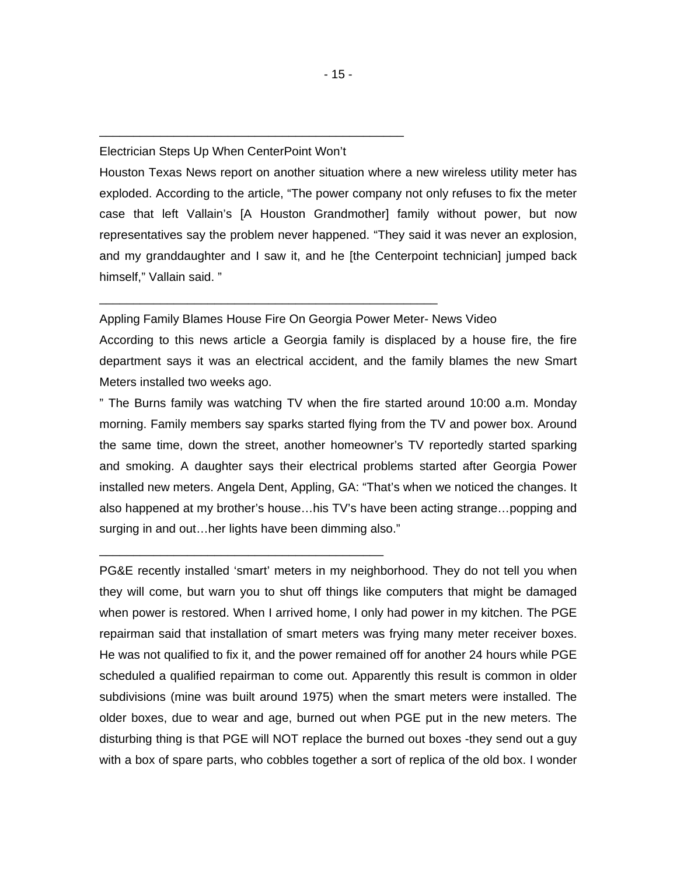#### Electrician Steps Up When CenterPoint Won't

\_\_\_\_\_\_\_\_\_\_\_\_\_\_\_\_\_\_\_\_\_\_\_\_\_\_\_\_\_\_\_\_\_\_\_\_\_\_\_\_\_\_\_\_\_

Houston Texas News report on another situation where a new wireless utility meter has exploded. According to the article, "The power company not only refuses to fix the meter case that left Vallain's [A Houston Grandmother] family without power, but now representatives say the problem never happened. "They said it was never an explosion, and my granddaughter and I saw it, and he [the Centerpoint technician] jumped back himself," Vallain said. "

Appling Family Blames House Fire On Georgia Power Meter- News Video

\_\_\_\_\_\_\_\_\_\_\_\_\_\_\_\_\_\_\_\_\_\_\_\_\_\_\_\_\_\_\_\_\_\_\_\_\_\_\_\_\_\_\_\_\_\_\_\_\_\_

\_\_\_\_\_\_\_\_\_\_\_\_\_\_\_\_\_\_\_\_\_\_\_\_\_\_\_\_\_\_\_\_\_\_\_\_\_\_\_\_\_\_

According to this news article a Georgia family is displaced by a house fire, the fire department says it was an electrical accident, and the family blames the new Smart Meters installed two weeks ago.

" The Burns family was watching TV when the fire started around 10:00 a.m. Monday morning. Family members say sparks started flying from the TV and power box. Around the same time, down the street, another homeowner's TV reportedly started sparking and smoking. A daughter says their electrical problems started after Georgia Power installed new meters. Angela Dent, Appling, GA: "That's when we noticed the changes. It also happened at my brother's house…his TV's have been acting strange…popping and surging in and out…her lights have been dimming also."

PG&E recently installed 'smart' meters in my neighborhood. They do not tell you when they will come, but warn you to shut off things like computers that might be damaged when power is restored. When I arrived home, I only had power in my kitchen. The PGE repairman said that installation of smart meters was frying many meter receiver boxes. He was not qualified to fix it, and the power remained off for another 24 hours while PGE scheduled a qualified repairman to come out. Apparently this result is common in older subdivisions (mine was built around 1975) when the smart meters were installed. The older boxes, due to wear and age, burned out when PGE put in the new meters. The disturbing thing is that PGE will NOT replace the burned out boxes -they send out a guy with a box of spare parts, who cobbles together a sort of replica of the old box. I wonder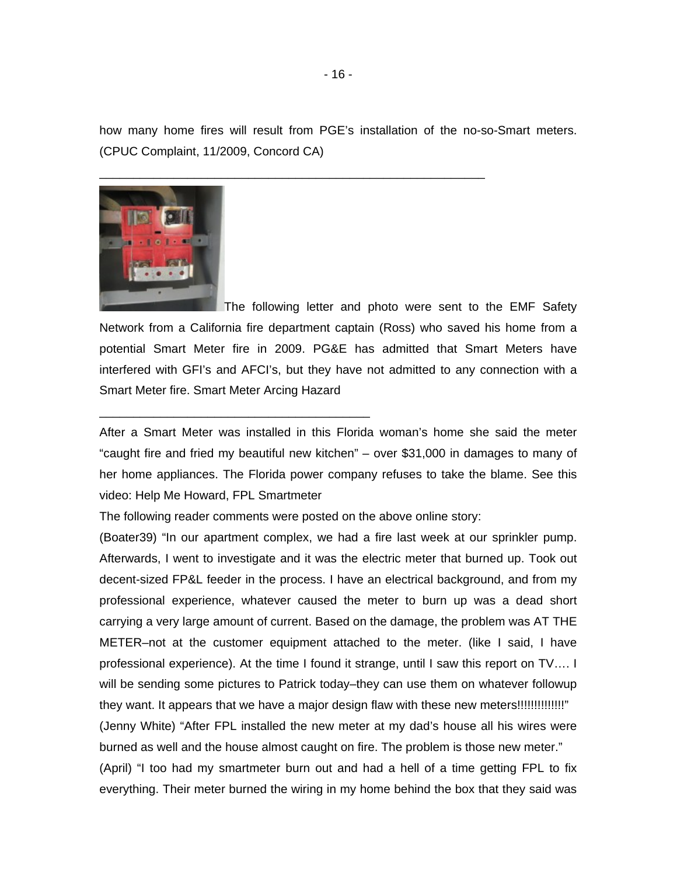how many home fires will result from PGE's installation of the no-so-Smart meters. (CPUC Complaint, 11/2009, Concord CA)

\_\_\_\_\_\_\_\_\_\_\_\_\_\_\_\_\_\_\_\_\_\_\_\_\_\_\_\_\_\_\_\_\_\_\_\_\_\_\_\_\_\_\_\_\_\_\_\_\_\_\_\_\_\_\_\_\_



The following letter and photo were sent to the EMF Safety Network from a California fire department captain (Ross) who saved his home from a potential Smart Meter fire in 2009. PG&E has admitted that Smart Meters have interfered with GFI's and AFCI's, but they have not admitted to any connection with a Smart Meter fire. Smart Meter Arcing Hazard

After a Smart Meter was installed in this Florida woman's home she said the meter "caught fire and fried my beautiful new kitchen" – over \$31,000 in damages to many of her home appliances. The Florida power company refuses to take the blame. See this video: Help Me Howard, FPL Smartmeter

The following reader comments were posted on the above online story:

\_\_\_\_\_\_\_\_\_\_\_\_\_\_\_\_\_\_\_\_\_\_\_\_\_\_\_\_\_\_\_\_\_\_\_\_\_\_\_\_

(Boater39) "In our apartment complex, we had a fire last week at our sprinkler pump. Afterwards, I went to investigate and it was the electric meter that burned up. Took out decent-sized FP&L feeder in the process. I have an electrical background, and from my professional experience, whatever caused the meter to burn up was a dead short carrying a very large amount of current. Based on the damage, the problem was AT THE METER–not at the customer equipment attached to the meter. (like I said, I have professional experience). At the time I found it strange, until I saw this report on TV…. I will be sending some pictures to Patrick today–they can use them on whatever followup they want. It appears that we have a major design flaw with these new meters!!!!!!!!!!!!!!!!!! (Jenny White) "After FPL installed the new meter at my dad's house all his wires were burned as well and the house almost caught on fire. The problem is those new meter." (April) "I too had my smartmeter burn out and had a hell of a time getting FPL to fix everything. Their meter burned the wiring in my home behind the box that they said was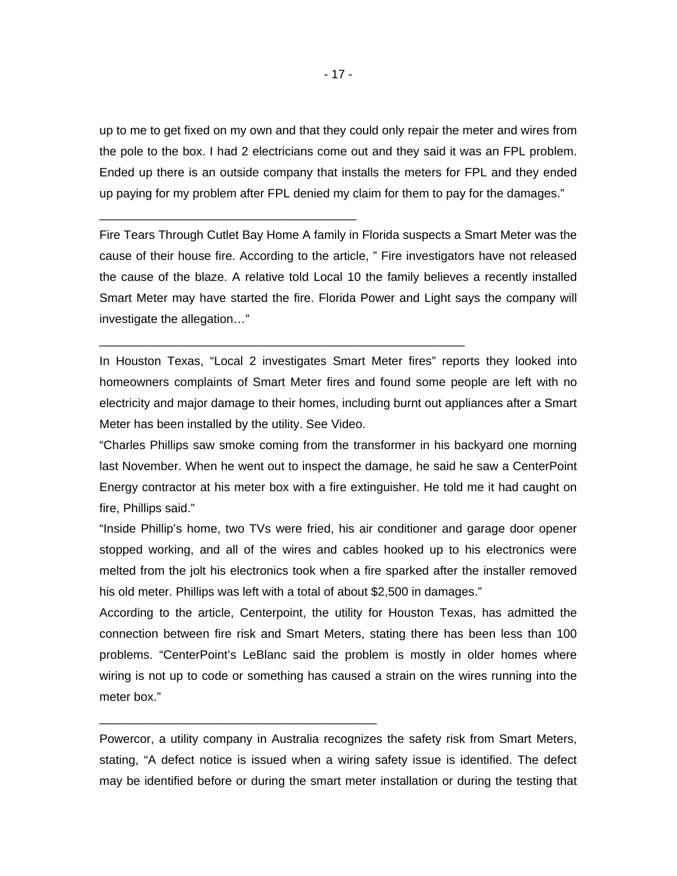up to me to get fixed on my own and that they could only repair the meter and wires from the pole to the box. I had 2 electricians come out and they said it was an FPL problem. Ended up there is an outside company that installs the meters for FPL and they ended up paying for my problem after FPL denied my claim for them to pay for the damages."

\_\_\_\_\_\_\_\_\_\_\_\_\_\_\_\_\_\_\_\_\_\_\_\_\_\_\_\_\_\_\_\_\_\_\_\_\_\_

Fire Tears Through Cutlet Bay Home A family in Florida suspects a Smart Meter was the cause of their house fire. According to the article, " Fire investigators have not released the cause of the blaze. A relative told Local 10 the family believes a recently installed Smart Meter may have started the fire. Florida Power and Light says the company will investigate the allegation…"

In Houston Texas, "Local 2 investigates Smart Meter fires" reports they looked into homeowners complaints of Smart Meter fires and found some people are left with no electricity and major damage to their homes, including burnt out appliances after a Smart Meter has been installed by the utility. See Video.

\_\_\_\_\_\_\_\_\_\_\_\_\_\_\_\_\_\_\_\_\_\_\_\_\_\_\_\_\_\_\_\_\_\_\_\_\_\_\_\_\_\_\_\_\_\_\_\_\_\_\_\_\_\_

"Charles Phillips saw smoke coming from the transformer in his backyard one morning last November. When he went out to inspect the damage, he said he saw a CenterPoint Energy contractor at his meter box with a fire extinguisher. He told me it had caught on fire, Phillips said."

"Inside Phillip's home, two TVs were fried, his air conditioner and garage door opener stopped working, and all of the wires and cables hooked up to his electronics were melted from the jolt his electronics took when a fire sparked after the installer removed his old meter. Phillips was left with a total of about \$2,500 in damages."

According to the article, Centerpoint, the utility for Houston Texas, has admitted the connection between fire risk and Smart Meters, stating there has been less than 100 problems. "CenterPoint's LeBlanc said the problem is mostly in older homes where wiring is not up to code or something has caused a strain on the wires running into the meter box."

Powercor, a utility company in Australia recognizes the safety risk from Smart Meters, stating, "A defect notice is issued when a wiring safety issue is identified. The defect may be identified before or during the smart meter installation or during the testing that

\_\_\_\_\_\_\_\_\_\_\_\_\_\_\_\_\_\_\_\_\_\_\_\_\_\_\_\_\_\_\_\_\_\_\_\_\_\_\_\_\_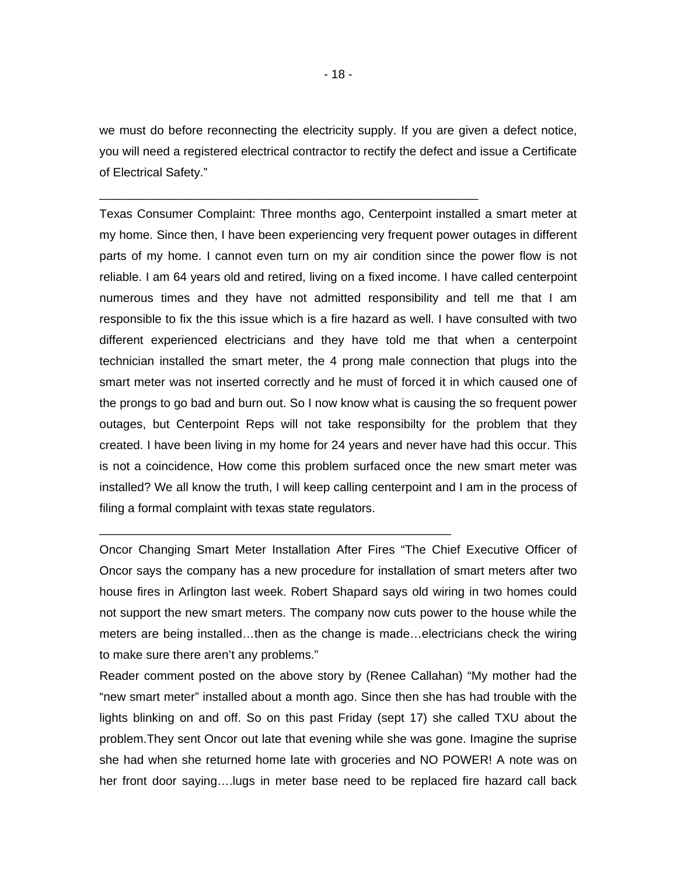we must do before reconnecting the electricity supply. If you are given a defect notice, you will need a registered electrical contractor to rectify the defect and issue a Certificate of Electrical Safety."

\_\_\_\_\_\_\_\_\_\_\_\_\_\_\_\_\_\_\_\_\_\_\_\_\_\_\_\_\_\_\_\_\_\_\_\_\_\_\_\_\_\_\_\_\_\_\_\_\_\_\_\_\_\_\_\_

Texas Consumer Complaint: Three months ago, Centerpoint installed a smart meter at my home. Since then, I have been experiencing very frequent power outages in different parts of my home. I cannot even turn on my air condition since the power flow is not reliable. I am 64 years old and retired, living on a fixed income. I have called centerpoint numerous times and they have not admitted responsibility and tell me that I am responsible to fix the this issue which is a fire hazard as well. I have consulted with two different experienced electricians and they have told me that when a centerpoint technician installed the smart meter, the 4 prong male connection that plugs into the smart meter was not inserted correctly and he must of forced it in which caused one of the prongs to go bad and burn out. So I now know what is causing the so frequent power outages, but Centerpoint Reps will not take responsibilty for the problem that they created. I have been living in my home for 24 years and never have had this occur. This is not a coincidence, How come this problem surfaced once the new smart meter was installed? We all know the truth, I will keep calling centerpoint and I am in the process of filing a formal complaint with texas state regulators.

Oncor Changing Smart Meter Installation After Fires "The Chief Executive Officer of Oncor says the company has a new procedure for installation of smart meters after two house fires in Arlington last week. Robert Shapard says old wiring in two homes could not support the new smart meters. The company now cuts power to the house while the meters are being installed…then as the change is made…electricians check the wiring to make sure there aren't any problems."

\_\_\_\_\_\_\_\_\_\_\_\_\_\_\_\_\_\_\_\_\_\_\_\_\_\_\_\_\_\_\_\_\_\_\_\_\_\_\_\_\_\_\_\_\_\_\_\_\_\_\_\_

Reader comment posted on the above story by (Renee Callahan) "My mother had the "new smart meter" installed about a month ago. Since then she has had trouble with the lights blinking on and off. So on this past Friday (sept 17) she called TXU about the problem.They sent Oncor out late that evening while she was gone. Imagine the suprise she had when she returned home late with groceries and NO POWER! A note was on her front door saying….lugs in meter base need to be replaced fire hazard call back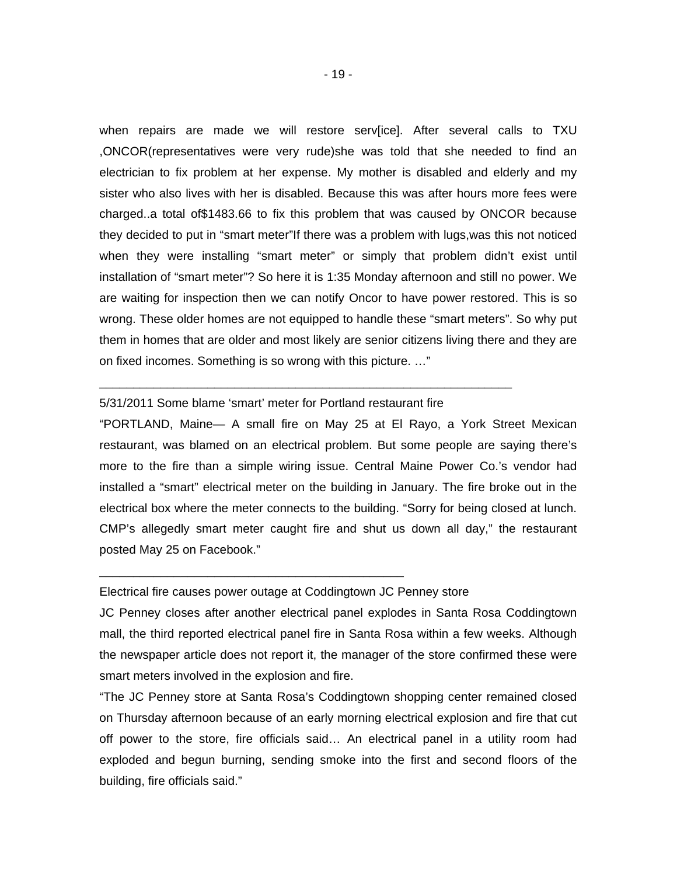when repairs are made we will restore serv[ice]. After several calls to TXU ,ONCOR(representatives were very rude)she was told that she needed to find an electrician to fix problem at her expense. My mother is disabled and elderly and my sister who also lives with her is disabled. Because this was after hours more fees were charged..a total of\$1483.66 to fix this problem that was caused by ONCOR because they decided to put in "smart meter"If there was a problem with lugs,was this not noticed when they were installing "smart meter" or simply that problem didn't exist until installation of "smart meter"? So here it is 1:35 Monday afternoon and still no power. We are waiting for inspection then we can notify Oncor to have power restored. This is so wrong. These older homes are not equipped to handle these "smart meters". So why put them in homes that are older and most likely are senior citizens living there and they are on fixed incomes. Something is so wrong with this picture. …"

#### 5/31/2011 Some blame 'smart' meter for Portland restaurant fire

\_\_\_\_\_\_\_\_\_\_\_\_\_\_\_\_\_\_\_\_\_\_\_\_\_\_\_\_\_\_\_\_\_\_\_\_\_\_\_\_\_\_\_\_\_\_\_\_\_\_\_\_\_\_\_\_\_\_\_\_\_

"PORTLAND, Maine— A small fire on May 25 at El Rayo, a York Street Mexican restaurant, was blamed on an electrical problem. But some people are saying there's more to the fire than a simple wiring issue. Central Maine Power Co.'s vendor had installed a "smart" electrical meter on the building in January. The fire broke out in the electrical box where the meter connects to the building. "Sorry for being closed at lunch. CMP's allegedly smart meter caught fire and shut us down all day," the restaurant posted May 25 on Facebook."

#### Electrical fire causes power outage at Coddingtown JC Penney store

\_\_\_\_\_\_\_\_\_\_\_\_\_\_\_\_\_\_\_\_\_\_\_\_\_\_\_\_\_\_\_\_\_\_\_\_\_\_\_\_\_\_\_\_\_

JC Penney closes after another electrical panel explodes in Santa Rosa Coddingtown mall, the third reported electrical panel fire in Santa Rosa within a few weeks. Although the newspaper article does not report it, the manager of the store confirmed these were smart meters involved in the explosion and fire.

"The JC Penney store at Santa Rosa's Coddingtown shopping center remained closed on Thursday afternoon because of an early morning electrical explosion and fire that cut off power to the store, fire officials said… An electrical panel in a utility room had exploded and begun burning, sending smoke into the first and second floors of the building, fire officials said."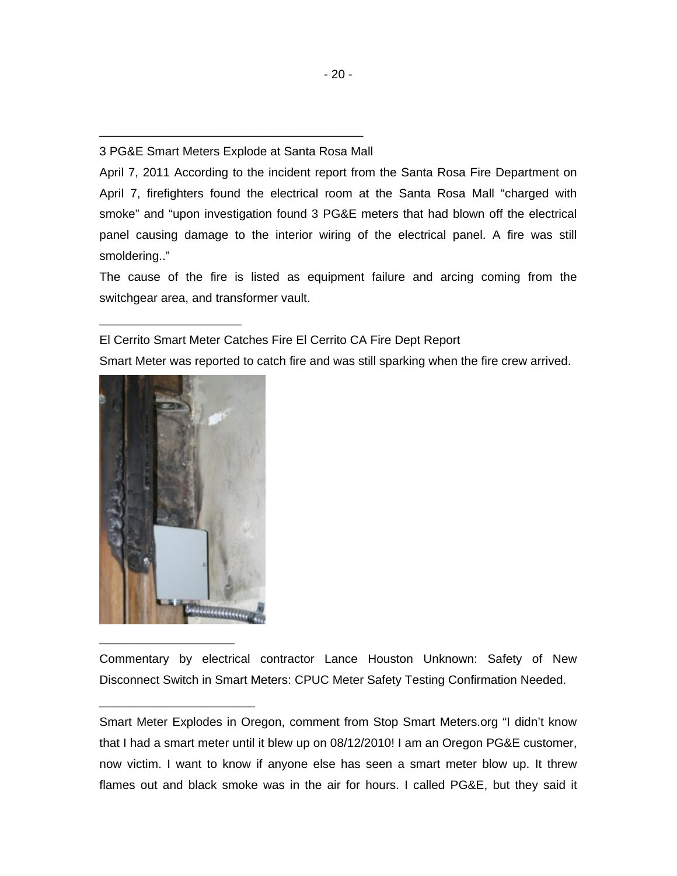# \_\_\_\_\_\_\_\_\_\_\_\_\_\_\_\_\_\_\_\_\_\_\_\_\_\_\_\_\_\_\_\_\_\_\_\_\_\_\_ 3 PG&E Smart Meters Explode at Santa Rosa Mall

April 7, 2011 According to the incident report from the Santa Rosa Fire Department on April 7, firefighters found the electrical room at the Santa Rosa Mall "charged with smoke" and "upon investigation found 3 PG&E meters that had blown off the electrical panel causing damage to the interior wiring of the electrical panel. A fire was still smoldering.."

The cause of the fire is listed as equipment failure and arcing coming from the switchgear area, and transformer vault.

# El Cerrito Smart Meter Catches Fire El Cerrito CA Fire Dept Report

Smart Meter was reported to catch fire and was still sparking when the fire crew arrived.



\_\_\_\_\_\_\_\_\_\_\_\_\_\_\_\_\_\_\_\_\_\_\_

\_\_\_\_\_\_\_\_\_\_\_\_\_\_\_\_\_\_\_\_\_

Commentary by electrical contractor Lance Houston Unknown: Safety of New Disconnect Switch in Smart Meters: CPUC Meter Safety Testing Confirmation Needed.

Smart Meter Explodes in Oregon, comment from Stop Smart Meters.org "I didn't know that I had a smart meter until it blew up on 08/12/2010! I am an Oregon PG&E customer, now victim. I want to know if anyone else has seen a smart meter blow up. It threw flames out and black smoke was in the air for hours. I called PG&E, but they said it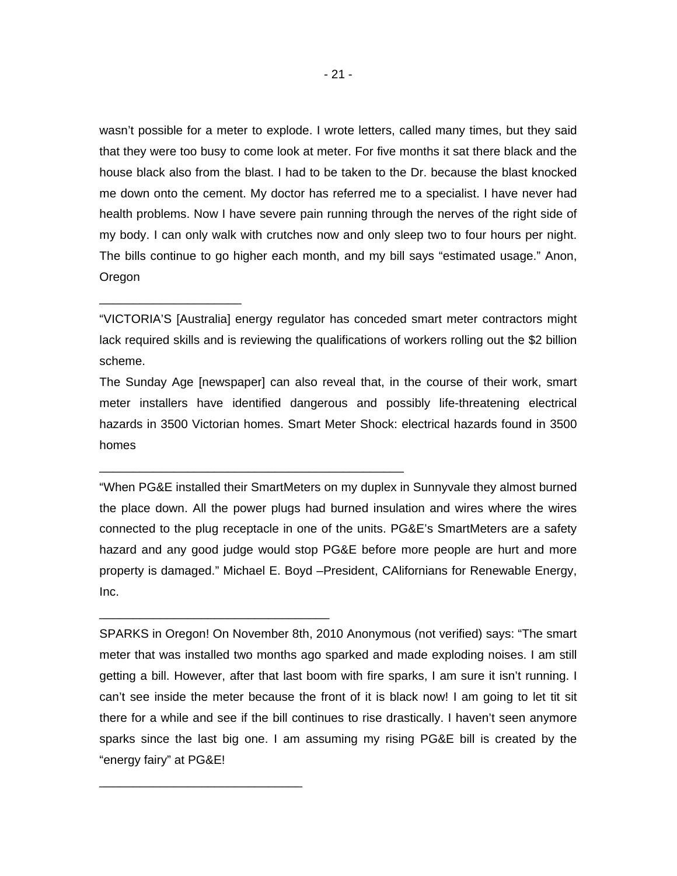wasn't possible for a meter to explode. I wrote letters, called many times, but they said that they were too busy to come look at meter. For five months it sat there black and the house black also from the blast. I had to be taken to the Dr. because the blast knocked me down onto the cement. My doctor has referred me to a specialist. I have never had health problems. Now I have severe pain running through the nerves of the right side of my body. I can only walk with crutches now and only sleep two to four hours per night. The bills continue to go higher each month, and my bill says "estimated usage." Anon, Oregon

"VICTORIA'S [Australia] energy regulator has conceded smart meter contractors might lack required skills and is reviewing the qualifications of workers rolling out the \$2 billion scheme.

\_\_\_\_\_\_\_\_\_\_\_\_\_\_\_\_\_\_\_\_\_

The Sunday Age [newspaper] can also reveal that, in the course of their work, smart meter installers have identified dangerous and possibly life-threatening electrical hazards in 3500 Victorian homes. Smart Meter Shock: electrical hazards found in 3500 homes

\_\_\_\_\_\_\_\_\_\_\_\_\_\_\_\_\_\_\_\_\_\_\_\_\_\_\_\_\_\_\_\_\_\_\_\_\_\_\_\_\_\_\_\_\_

\_\_\_\_\_\_\_\_\_\_\_\_\_\_\_\_\_\_\_\_\_\_\_\_\_\_\_\_\_\_\_\_\_\_

\_\_\_\_\_\_\_\_\_\_\_\_\_\_\_\_\_\_\_\_\_\_\_\_\_\_\_\_\_\_

"When PG&E installed their SmartMeters on my duplex in Sunnyvale they almost burned the place down. All the power plugs had burned insulation and wires where the wires connected to the plug receptacle in one of the units. PG&E's SmartMeters are a safety hazard and any good judge would stop PG&E before more people are hurt and more property is damaged." Michael E. Boyd –President, CAlifornians for Renewable Energy, Inc.

SPARKS in Oregon! On November 8th, 2010 Anonymous (not verified) says: "The smart meter that was installed two months ago sparked and made exploding noises. I am still getting a bill. However, after that last boom with fire sparks, I am sure it isn't running. I can't see inside the meter because the front of it is black now! I am going to let tit sit there for a while and see if the bill continues to rise drastically. I haven't seen anymore sparks since the last big one. I am assuming my rising PG&E bill is created by the "energy fairy" at PG&E!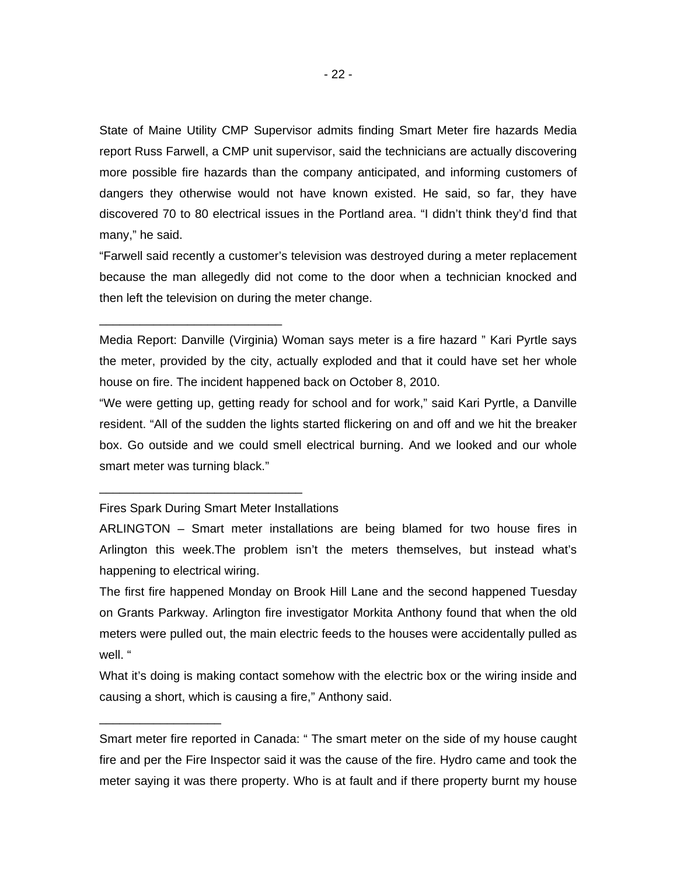State of Maine Utility CMP Supervisor admits finding Smart Meter fire hazards Media report Russ Farwell, a CMP unit supervisor, said the technicians are actually discovering more possible fire hazards than the company anticipated, and informing customers of dangers they otherwise would not have known existed. He said, so far, they have discovered 70 to 80 electrical issues in the Portland area. "I didn't think they'd find that many," he said.

"Farwell said recently a customer's television was destroyed during a meter replacement because the man allegedly did not come to the door when a technician knocked and then left the television on during the meter change.

Media Report: Danville (Virginia) Woman says meter is a fire hazard " Kari Pyrtle says the meter, provided by the city, actually exploded and that it could have set her whole house on fire. The incident happened back on October 8, 2010.

"We were getting up, getting ready for school and for work," said Kari Pyrtle, a Danville resident. "All of the sudden the lights started flickering on and off and we hit the breaker box. Go outside and we could smell electrical burning. And we looked and our whole smart meter was turning black."

Fires Spark During Smart Meter Installations

\_\_\_\_\_\_\_\_\_\_\_\_\_\_\_\_\_\_\_\_\_\_\_\_\_\_\_\_\_\_

\_\_\_\_\_\_\_\_\_\_\_\_\_\_\_\_\_\_

\_\_\_\_\_\_\_\_\_\_\_\_\_\_\_\_\_\_\_\_\_\_\_\_\_\_\_

ARLINGTON – Smart meter installations are being blamed for two house fires in Arlington this week.The problem isn't the meters themselves, but instead what's happening to electrical wiring.

The first fire happened Monday on Brook Hill Lane and the second happened Tuesday on Grants Parkway. Arlington fire investigator Morkita Anthony found that when the old meters were pulled out, the main electric feeds to the houses were accidentally pulled as well. "

What it's doing is making contact somehow with the electric box or the wiring inside and causing a short, which is causing a fire," Anthony said.

Smart meter fire reported in Canada: " The smart meter on the side of my house caught fire and per the Fire Inspector said it was the cause of the fire. Hydro came and took the meter saying it was there property. Who is at fault and if there property burnt my house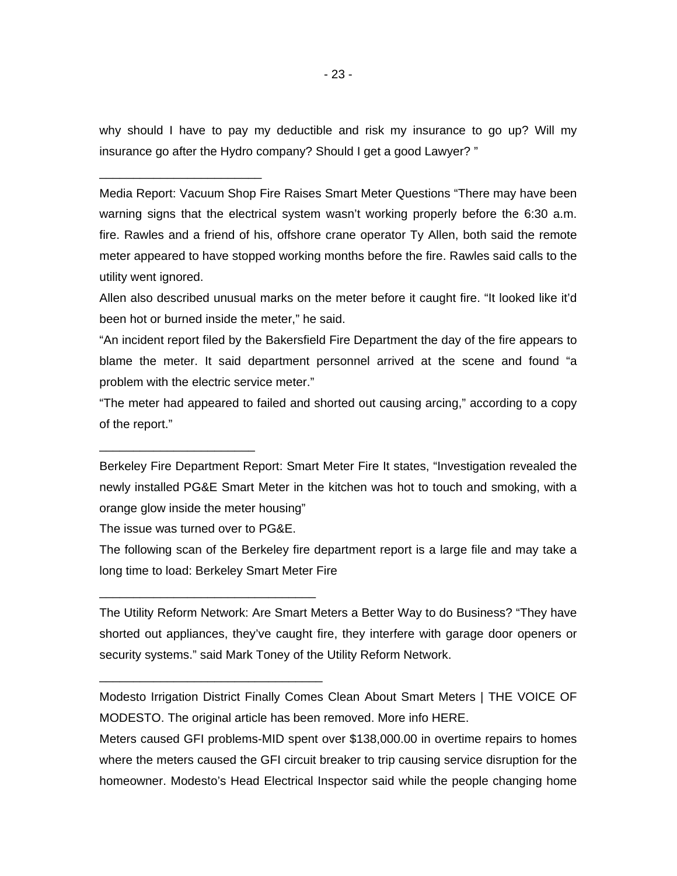why should I have to pay my deductible and risk my insurance to go up? Will my insurance go after the Hydro company? Should I get a good Lawyer? "

Media Report: Vacuum Shop Fire Raises Smart Meter Questions "There may have been warning signs that the electrical system wasn't working properly before the 6:30 a.m. fire. Rawles and a friend of his, offshore crane operator Ty Allen, both said the remote meter appeared to have stopped working months before the fire. Rawles said calls to the utility went ignored.

Allen also described unusual marks on the meter before it caught fire. "It looked like it'd been hot or burned inside the meter," he said.

"An incident report filed by the Bakersfield Fire Department the day of the fire appears to blame the meter. It said department personnel arrived at the scene and found "a problem with the electric service meter."

"The meter had appeared to failed and shorted out causing arcing," according to a copy of the report."

Berkeley Fire Department Report: Smart Meter Fire It states, "Investigation revealed the newly installed PG&E Smart Meter in the kitchen was hot to touch and smoking, with a orange glow inside the meter housing"

The issue was turned over to PG&E.

\_\_\_\_\_\_\_\_\_\_\_\_\_\_\_\_\_\_\_\_\_\_\_\_\_\_\_\_\_\_\_\_

\_\_\_\_\_\_\_\_\_\_\_\_\_\_\_\_\_\_\_\_\_\_\_\_\_\_\_\_\_\_\_\_\_

\_\_\_\_\_\_\_\_\_\_\_\_\_\_\_\_\_\_\_\_\_\_\_

\_\_\_\_\_\_\_\_\_\_\_\_\_\_\_\_\_\_\_\_\_\_\_\_

The following scan of the Berkeley fire department report is a large file and may take a long time to load: Berkeley Smart Meter Fire

The Utility Reform Network: Are Smart Meters a Better Way to do Business? "They have shorted out appliances, they've caught fire, they interfere with garage door openers or security systems." said Mark Toney of the Utility Reform Network.

Modesto Irrigation District Finally Comes Clean About Smart Meters | THE VOICE OF MODESTO. The original article has been removed. More info HERE.

Meters caused GFI problems-MID spent over \$138,000.00 in overtime repairs to homes where the meters caused the GFI circuit breaker to trip causing service disruption for the homeowner. Modesto's Head Electrical Inspector said while the people changing home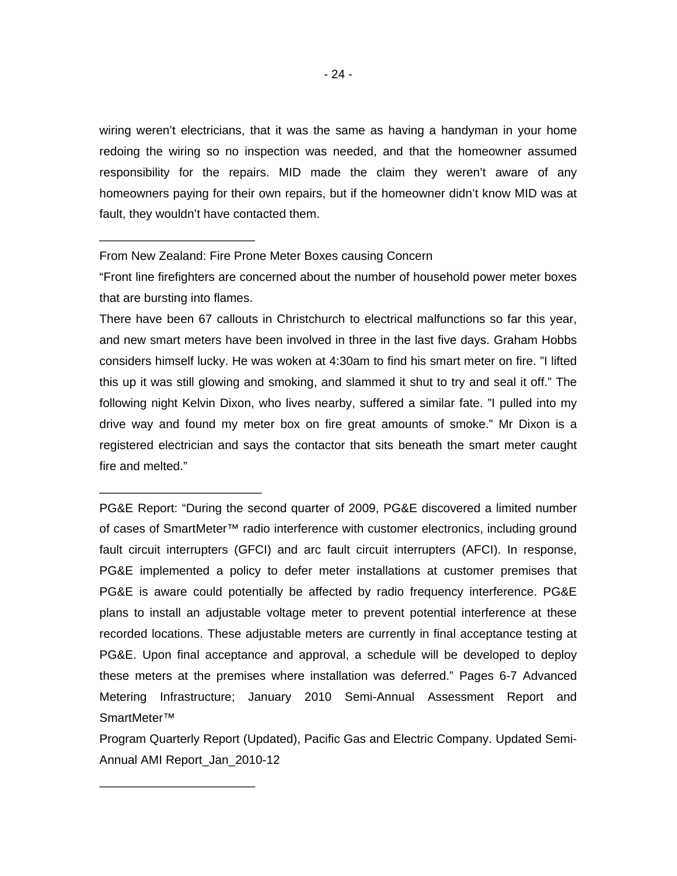wiring weren't electricians, that it was the same as having a handyman in your home redoing the wiring so no inspection was needed, and that the homeowner assumed responsibility for the repairs. MID made the claim they weren't aware of any homeowners paying for their own repairs, but if the homeowner didn't know MID was at fault, they wouldn't have contacted them.

From New Zealand: Fire Prone Meter Boxes causing Concern

\_\_\_\_\_\_\_\_\_\_\_\_\_\_\_\_\_\_\_\_\_\_\_

\_\_\_\_\_\_\_\_\_\_\_\_\_\_\_\_\_\_\_\_\_\_\_\_

\_\_\_\_\_\_\_\_\_\_\_\_\_\_\_\_\_\_\_\_\_\_\_

"Front line firefighters are concerned about the number of household power meter boxes that are bursting into flames.

There have been 67 callouts in Christchurch to electrical malfunctions so far this year, and new smart meters have been involved in three in the last five days. Graham Hobbs considers himself lucky. He was woken at 4:30am to find his smart meter on fire. "I lifted this up it was still glowing and smoking, and slammed it shut to try and seal it off." The following night Kelvin Dixon, who lives nearby, suffered a similar fate. "I pulled into my drive way and found my meter box on fire great amounts of smoke." Mr Dixon is a registered electrician and says the contactor that sits beneath the smart meter caught fire and melted."

PG&E Report: "During the second quarter of 2009, PG&E discovered a limited number of cases of SmartMeter™ radio interference with customer electronics, including ground fault circuit interrupters (GFCI) and arc fault circuit interrupters (AFCI). In response, PG&E implemented a policy to defer meter installations at customer premises that PG&E is aware could potentially be affected by radio frequency interference. PG&E plans to install an adjustable voltage meter to prevent potential interference at these recorded locations. These adjustable meters are currently in final acceptance testing at PG&E. Upon final acceptance and approval, a schedule will be developed to deploy these meters at the premises where installation was deferred." Pages 6-7 Advanced Metering Infrastructure; January 2010 Semi-Annual Assessment Report and SmartMeter™

Program Quarterly Report (Updated), Pacific Gas and Electric Company. Updated Semi-Annual AMI Report\_Jan\_2010-12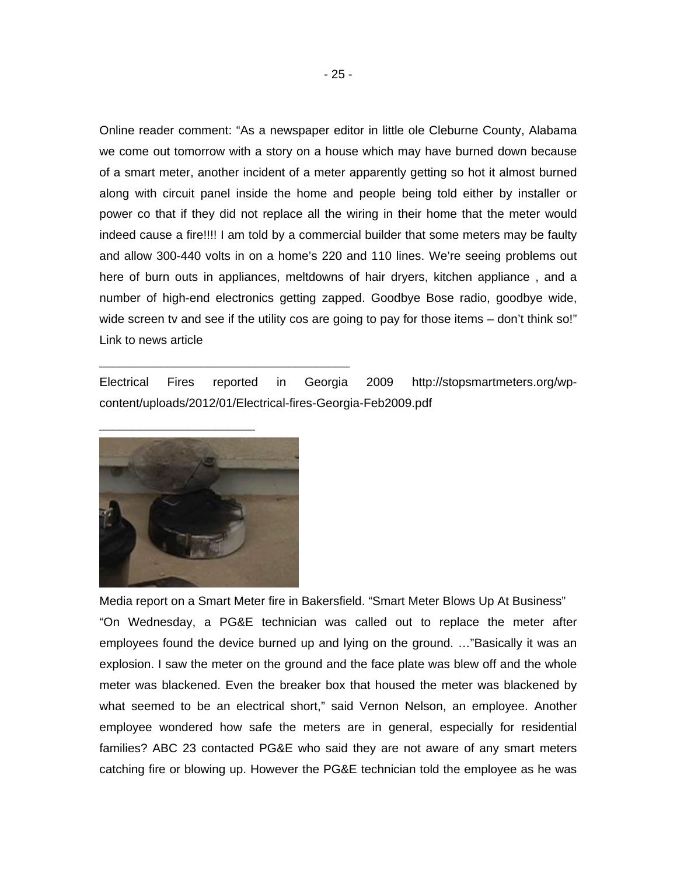Online reader comment: "As a newspaper editor in little ole Cleburne County, Alabama we come out tomorrow with a story on a house which may have burned down because of a smart meter, another incident of a meter apparently getting so hot it almost burned along with circuit panel inside the home and people being told either by installer or power co that if they did not replace all the wiring in their home that the meter would indeed cause a fire!!!! I am told by a commercial builder that some meters may be faulty and allow 300-440 volts in on a home's 220 and 110 lines. We're seeing problems out here of burn outs in appliances, meltdowns of hair dryers, kitchen appliance , and a number of high-end electronics getting zapped. Goodbye Bose radio, goodbye wide, wide screen tv and see if the utility cos are going to pay for those items – don't think so!" Link to news article

Electrical Fires reported in Georgia 2009 http://stopsmartmeters.org/wpcontent/uploads/2012/01/Electrical-fires-Georgia-Feb2009.pdf



\_\_\_\_\_\_\_\_\_\_\_\_\_\_\_\_\_\_\_\_\_\_\_\_\_\_\_\_\_\_\_\_\_\_\_\_\_

Media report on a Smart Meter fire in Bakersfield. "Smart Meter Blows Up At Business" "On Wednesday, a PG&E technician was called out to replace the meter after employees found the device burned up and lying on the ground. …"Basically it was an explosion. I saw the meter on the ground and the face plate was blew off and the whole meter was blackened. Even the breaker box that housed the meter was blackened by what seemed to be an electrical short," said Vernon Nelson, an employee. Another employee wondered how safe the meters are in general, especially for residential families? ABC 23 contacted PG&E who said they are not aware of any smart meters catching fire or blowing up. However the PG&E technician told the employee as he was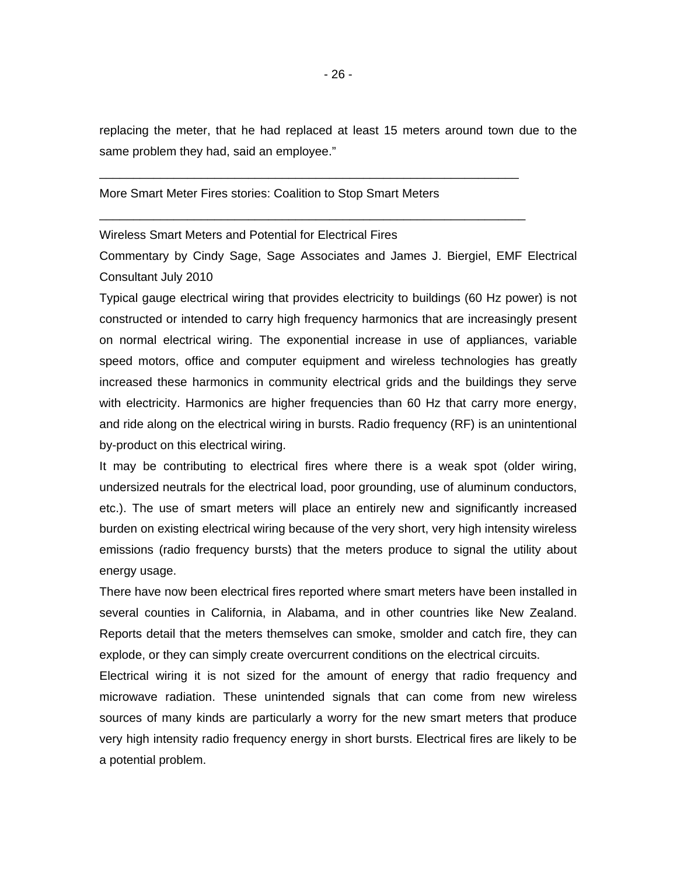replacing the meter, that he had replaced at least 15 meters around town due to the same problem they had, said an employee."

\_\_\_\_\_\_\_\_\_\_\_\_\_\_\_\_\_\_\_\_\_\_\_\_\_\_\_\_\_\_\_\_\_\_\_\_\_\_\_\_\_\_\_\_\_\_\_\_\_\_\_\_\_\_\_\_\_\_\_\_\_\_

\_\_\_\_\_\_\_\_\_\_\_\_\_\_\_\_\_\_\_\_\_\_\_\_\_\_\_\_\_\_\_\_\_\_\_\_\_\_\_\_\_\_\_\_\_\_\_\_\_\_\_\_\_\_\_\_\_\_\_\_\_\_\_

#### More Smart Meter Fires stories: Coalition to Stop Smart Meters

Wireless Smart Meters and Potential for Electrical Fires

Commentary by Cindy Sage, Sage Associates and James J. Biergiel, EMF Electrical Consultant July 2010

Typical gauge electrical wiring that provides electricity to buildings (60 Hz power) is not constructed or intended to carry high frequency harmonics that are increasingly present on normal electrical wiring. The exponential increase in use of appliances, variable speed motors, office and computer equipment and wireless technologies has greatly increased these harmonics in community electrical grids and the buildings they serve with electricity. Harmonics are higher frequencies than 60 Hz that carry more energy, and ride along on the electrical wiring in bursts. Radio frequency (RF) is an unintentional by-product on this electrical wiring.

It may be contributing to electrical fires where there is a weak spot (older wiring, undersized neutrals for the electrical load, poor grounding, use of aluminum conductors, etc.). The use of smart meters will place an entirely new and significantly increased burden on existing electrical wiring because of the very short, very high intensity wireless emissions (radio frequency bursts) that the meters produce to signal the utility about energy usage.

There have now been electrical fires reported where smart meters have been installed in several counties in California, in Alabama, and in other countries like New Zealand. Reports detail that the meters themselves can smoke, smolder and catch fire, they can explode, or they can simply create overcurrent conditions on the electrical circuits.

Electrical wiring it is not sized for the amount of energy that radio frequency and microwave radiation. These unintended signals that can come from new wireless sources of many kinds are particularly a worry for the new smart meters that produce very high intensity radio frequency energy in short bursts. Electrical fires are likely to be a potential problem.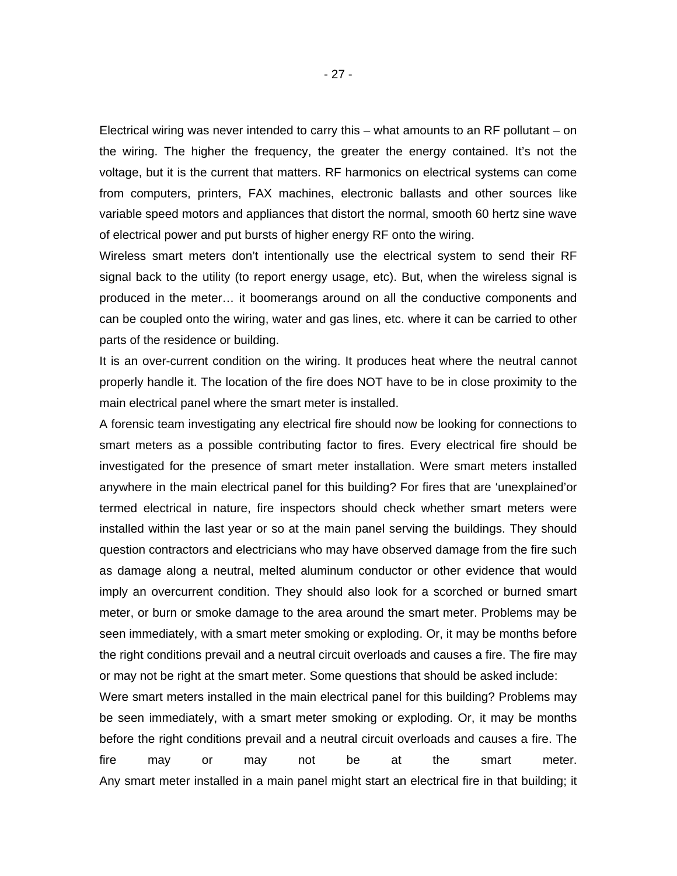Electrical wiring was never intended to carry this – what amounts to an RF pollutant – on the wiring. The higher the frequency, the greater the energy contained. It's not the voltage, but it is the current that matters. RF harmonics on electrical systems can come from computers, printers, FAX machines, electronic ballasts and other sources like variable speed motors and appliances that distort the normal, smooth 60 hertz sine wave of electrical power and put bursts of higher energy RF onto the wiring.

Wireless smart meters don't intentionally use the electrical system to send their RF signal back to the utility (to report energy usage, etc). But, when the wireless signal is produced in the meter… it boomerangs around on all the conductive components and can be coupled onto the wiring, water and gas lines, etc. where it can be carried to other parts of the residence or building.

It is an over-current condition on the wiring. It produces heat where the neutral cannot properly handle it. The location of the fire does NOT have to be in close proximity to the main electrical panel where the smart meter is installed.

A forensic team investigating any electrical fire should now be looking for connections to smart meters as a possible contributing factor to fires. Every electrical fire should be investigated for the presence of smart meter installation. Were smart meters installed anywhere in the main electrical panel for this building? For fires that are 'unexplained'or termed electrical in nature, fire inspectors should check whether smart meters were installed within the last year or so at the main panel serving the buildings. They should question contractors and electricians who may have observed damage from the fire such as damage along a neutral, melted aluminum conductor or other evidence that would imply an overcurrent condition. They should also look for a scorched or burned smart meter, or burn or smoke damage to the area around the smart meter. Problems may be seen immediately, with a smart meter smoking or exploding. Or, it may be months before the right conditions prevail and a neutral circuit overloads and causes a fire. The fire may or may not be right at the smart meter. Some questions that should be asked include:

Were smart meters installed in the main electrical panel for this building? Problems may be seen immediately, with a smart meter smoking or exploding. Or, it may be months before the right conditions prevail and a neutral circuit overloads and causes a fire. The fire may or may not be at the smart meter. Any smart meter installed in a main panel might start an electrical fire in that building; it